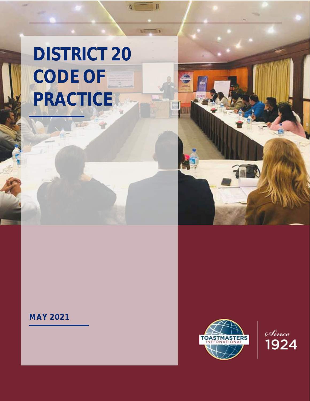# **DISTRICT 20 CODE OF PRACTICE**

Ø



# **MAY 2021**



<sub>Since</sub><br>1924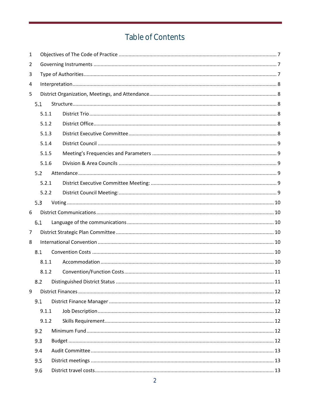# Table of Contents

| 1              |     |       |  |  |  |
|----------------|-----|-------|--|--|--|
| 2              |     |       |  |  |  |
| 3              |     |       |  |  |  |
| 4              |     |       |  |  |  |
| 5              |     |       |  |  |  |
|                | 5.1 |       |  |  |  |
|                |     | 5.1.1 |  |  |  |
|                |     | 5.1.2 |  |  |  |
|                |     | 5.1.3 |  |  |  |
|                |     | 5.1.4 |  |  |  |
|                |     | 5.1.5 |  |  |  |
|                |     | 5.1.6 |  |  |  |
|                | 5.2 |       |  |  |  |
|                |     | 5.2.1 |  |  |  |
|                |     | 5.2.2 |  |  |  |
|                | 5.3 |       |  |  |  |
| 6              |     |       |  |  |  |
|                | 6.1 |       |  |  |  |
| $\overline{7}$ |     |       |  |  |  |
| 8              |     |       |  |  |  |
|                | 8.1 |       |  |  |  |
|                |     | 8.1.1 |  |  |  |
|                |     | 8.1.2 |  |  |  |
|                | 8.2 |       |  |  |  |
| 9              |     |       |  |  |  |
|                | 9.1 |       |  |  |  |
|                |     | 9.1.1 |  |  |  |
|                |     | 9.1.2 |  |  |  |
|                | 9.2 |       |  |  |  |
|                | 9.3 |       |  |  |  |
|                | 9.4 |       |  |  |  |
|                | 9.5 |       |  |  |  |
|                | 9.6 |       |  |  |  |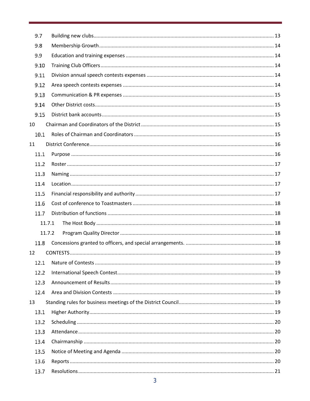| 9.7    |  |
|--------|--|
| 9.8    |  |
| 9.9    |  |
| 9.10   |  |
| 9.11   |  |
| 9.12   |  |
| 9.13   |  |
| 9.14   |  |
| 9.15   |  |
| 10     |  |
| 10.1   |  |
| 11     |  |
| 11.1   |  |
| 11.2   |  |
| 11.3   |  |
| 11.4   |  |
| 11.5   |  |
| 11.6   |  |
| 11.7   |  |
| 11.7.1 |  |
| 11.7.2 |  |
| 11.8   |  |
| 12     |  |
| 12.1   |  |
| 12.2   |  |
| 12.3   |  |
| 12.4   |  |
| 13     |  |
| 13.1   |  |
| 13.2   |  |
| 13.3   |  |
| 13.4   |  |
| 13.5   |  |
| 13.6   |  |
| 13.7   |  |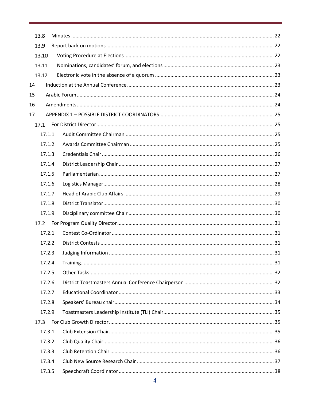|    | 13.8   |  |
|----|--------|--|
|    | 13.9   |  |
|    | 13.10  |  |
|    | 13.11  |  |
|    | 13.12  |  |
| 14 |        |  |
| 15 |        |  |
| 16 |        |  |
| 17 |        |  |
|    | 17.1   |  |
|    | 17.1.1 |  |
|    | 17.1.2 |  |
|    | 17.1.3 |  |
|    | 17.1.4 |  |
|    | 17.1.5 |  |
|    | 17.1.6 |  |
|    | 17.1.7 |  |
|    | 17.1.8 |  |
|    | 17.1.9 |  |
|    |        |  |
|    | 17.2.1 |  |
|    | 17.2.2 |  |
|    | 17.2.3 |  |
|    | 17.2.4 |  |
|    | 17.2.5 |  |
|    | 17.2.6 |  |
|    | 17.2.7 |  |
|    | 17.2.8 |  |
|    | 17.2.9 |  |
|    | 17.3   |  |
|    | 17.3.1 |  |
|    | 17.3.2 |  |
|    | 17.3.3 |  |
|    | 17.3.4 |  |
|    | 17.3.5 |  |
|    |        |  |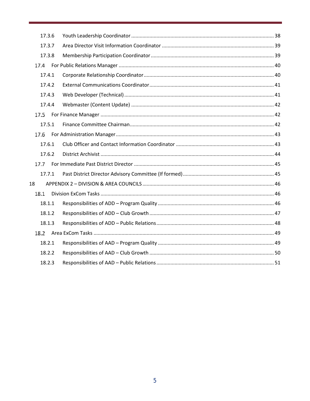| 17.3.6 |  |  |
|--------|--|--|
| 17.3.7 |  |  |
| 17.3.8 |  |  |
| 17.4   |  |  |
| 17.4.1 |  |  |
| 17.4.2 |  |  |
| 17.4.3 |  |  |
| 17.4.4 |  |  |
| 17.5   |  |  |
| 17.5.1 |  |  |
| 17.6   |  |  |
| 17.6.1 |  |  |
| 17.6.2 |  |  |
| 17.7   |  |  |
| 17.7.1 |  |  |
| 18     |  |  |
| 18.1   |  |  |
| 18.1.1 |  |  |
| 18.1.2 |  |  |
| 18.1.3 |  |  |
| 18.2   |  |  |
| 18.2.1 |  |  |
| 18.2.2 |  |  |
| 18.2.3 |  |  |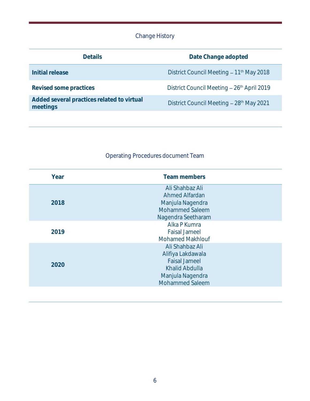# Change History

| <b>Details</b>                                         | Date Change adopted                                  |  |  |
|--------------------------------------------------------|------------------------------------------------------|--|--|
| Initial release                                        | District Council Meeting - 11 <sup>th</sup> May 2018 |  |  |
| Revised some practices                                 | District Council Meeting - 26th April 2019           |  |  |
| Added several practices related to virtual<br>meetings | District Council Meeting - 28th May 2021             |  |  |

# Operating Procedures document Team

| Year | Team members                                                                                                                 |
|------|------------------------------------------------------------------------------------------------------------------------------|
| 2018 | Ali Shahbaz Ali<br>Ahmed Alfardan<br>Manjula Nagendra<br><b>Mohammed Saleem</b><br>Nagendra Seetharam                        |
| 2019 | Alka P Kumra<br><b>Faisal Jameel</b><br><b>Mohamed Makhlouf</b>                                                              |
| 2020 | Ali Shahbaz Ali<br>Alifiya Lakdawala<br><b>Faisal Jameel</b><br>Khalid Abdulla<br>Manjula Nagendra<br><b>Mohammed Saleem</b> |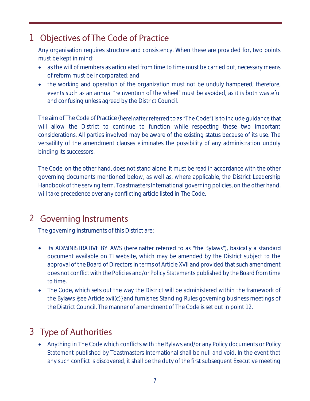# <span id="page-6-0"></span>1 Objectives of The Code of Practice

Any organisation requires structure and consistency. When these are provided for, two points must be kept in mind:

- as the will of members as articulated from time to time must be carried out, necessary means of reform must be incorporated; and
- the working and operation of the organization must not be unduly hampered; therefore, events such as an annual "reinvention of the wheel" must be avoided, as it is both wasteful and confusing unless agreed by the District Council.

The aim of The Code of Practice (hereinafter referred to as "The Code") is to include quidance that will allow the District to continue to function while respecting these two important considerations. All parties involved may be aware of the existing status because of its use. The versatility of the amendment clauses eliminates the possibility of any administration unduly binding its successors.

The Code, on the other hand, does not stand alone. It must be read in accordance with the other governing documents mentioned below, as well as, where applicable, the District Leadership Handbook of the serving term. Toastmasters International governing policies, on the other hand, will take precedence over any conflicting article listed in The Code.

# <span id="page-6-1"></span>2 Governing Instruments

The governing instruments of this District are:

- Its ADMINISTRATIVE BYLAWS (hereinafter referred to as "the Bylaws"), basically a standard document available on TI website, which may be amended by the District subject to the approval of the Board of Directors in terms of Article XVII and provided that such amendment does not conflict with the Policies and/or Policy Statements published by the Board from time to time.
- The Code, which sets out the way the District will be administered within the framework of the Bylaws {see Article xvii(c)} and furnishes Standing Rules governing business meetings of the District Council. The manner of amendment of The Code is set out in point 12.

# <span id="page-6-2"></span>3 Type of Authorities

• Anything in The Code which conflicts with the Bylaws and/or any Policy documents or Policy Statement published by Toastmasters International shall be null and void. In the event that any such conflict is discovered, it shall be the duty of the first subsequent Executive meeting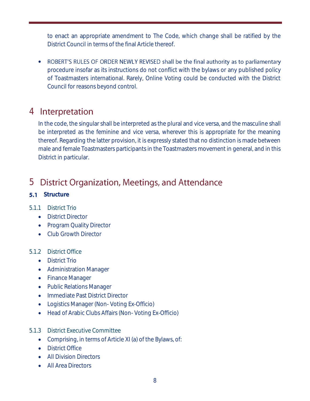to enact an appropriate amendment to The Code, which change shall be ratified by the District Council in terms of the final Article thereof.

• ROBERT'S RULES OF ORDER NEWLY REVISED shall be the final authority as to parliamentary procedure insofar as its instructions do not conflict with the bylaws or any published policy of Toastmasters international. Rarely, Online Voting could be conducted with the District Council for reasons beyond control.

# <span id="page-7-0"></span>4 Interpretation

In the code, the singular shall be interpreted as the plural and vice versa, and the masculine shall be interpreted as the feminine and vice versa, wherever this is appropriate for the meaning thereof. Regarding the latter provision, it is expressly stated that no distinction is made between male and female Toastmasters participants in the Toastmasters movement in general, and in this District in particular.

#### <span id="page-7-1"></span>**District Organization, Meetings, and Attendance** 5

<span id="page-7-2"></span>**5.1** Structure

# <span id="page-7-3"></span>5.1.1 District Trio

- District Director
- Program Quality Director
- Club Growth Director

#### <span id="page-7-4"></span>5.1.2 District Office

- District Trio
- Administration Manager
- Finance Manager
- Public Relations Manager
- Immediate Past District Director
- Logistics Manager (Non- Voting Ex-Officio)
- Head of Arabic Clubs Affairs (Non- Voting Ex-Officio)
- <span id="page-7-5"></span>5.1.3 District Executive Committee
	- Comprising, in terms of Article XI (a) of the Bylaws, of:
	- District Office
	- All Division Directors
	- All Area Directors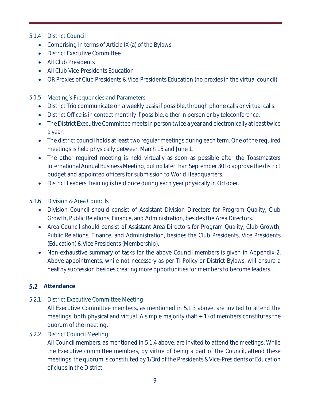## <span id="page-8-0"></span>5.1.4 District Council

- Comprising in terms of Article IX (a) of the Bylaws:
- District Executive Committee
- All Club Presidents
- All Club Vice-Presidents Education
- OR Proxies of Club Presidents & Vice-Presidents Education (no proxies in the virtual council)

## <span id="page-8-1"></span>5.1.5 Meeting's Frequencies and Parameters

- District Trio communicate on a weekly basis if possible, through phone calls or virtual calls.
- District Office is in contact monthly if possible, either in person or by teleconference.
- The District Executive Committee meets in person twice a year and electronically at least twice a year.
- The district council holds at least two regular meetings during each term. One of the required meetings is held physically between March 15 and June 1.
- The other required meeting is held virtually as soon as possible after the Toastmasters International Annual Business Meeting, but no later than September 30 to approve the district budget and appointed officers for submission to World Headquarters.
- District Leaders Training is held once during each year physically in October.

# <span id="page-8-2"></span>5.1.6 Division & Area Councils

- Division Council should consist of Assistant Division Directors for Program Quality, Club Growth, Public Relations, Finance, and Administration, besides the Area Directors.
- Area Council should consist of Assistant Area Directors for Program Quality, Club Growth, Public Relations, Finance, and Administration, besides the Club Presidents, Vice Presidents (Education) & Vice Presidents (Membership).
- Non-exhaustive summary of tasks for the above Council members is given in Appendix-2. Above appointments, while not necessary as per TI Policy or District Bylaws, will ensure a healthy succession besides creating more opportunities for members to become leaders.

# <span id="page-8-3"></span>**5.2** Attendance

<span id="page-8-4"></span>5.2.1 District Executive Committee Meeting:

All Executive Committee members, as mentioned in 5.1.3 above, are invited to attend the meetings, both physical and virtual. A simple majority (half + 1) of members constitutes the quorum of the meeting.

# <span id="page-8-5"></span>5.2.2 District Council Meeting:

All Council members, as mentioned in 5.1.4 above, are invited to attend the meetings. While the Executive committee members, by virtue of being a part of the Council, attend these meetings, the quorum is constituted by 1/3rd of the Presidents & Vice-Presidents of Education of clubs in the District.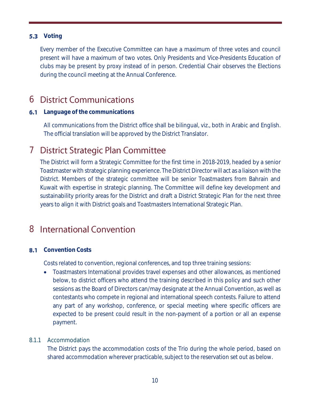# <span id="page-9-0"></span>**5.3** Voting

Every member of the Executive Committee can have a maximum of three votes and council present will have a maximum of two votes. Only Presidents and Vice-Presidents Education of clubs may be present by proxy instead of in person. Credential Chair observes the Elections during the council meeting at the Annual Conference.

# <span id="page-9-1"></span>**6** District Communications

## <span id="page-9-2"></span>**6.1** Language of the communications

All communications from the District office shall be bilingual, viz., both in Arabic and English. The official translation will be approved by the District Translator.

# <span id="page-9-3"></span>7 District Strategic Plan Committee

The District will form a Strategic Committee for the first time in 2018-2019, headed by a senior Toastmaster with strategic planning experience. The District Director will act as a liaison with the District. Members of the strategic committee will be senior Toastmasters from Bahrain and Kuwait with expertise in strategic planning. The Committee will define key development and sustainability priority areas for the District and draft a District Strategic Plan for the next three years to align it with District goals and Toastmasters International Strategic Plan.

# <span id="page-9-4"></span>8 International Convention

# <span id="page-9-5"></span>**8.1** Convention Costs

Costs related to convention, regional conferences, and top three training sessions:

• Toastmasters International provides travel expenses and other allowances, as mentioned below, to district officers who attend the training described in this policy and such other sessions as the Board of Directors can/may designate at the Annual Convention, as well as contestants who compete in regional and international speech contests. Failure to attend any part of any workshop, conference, or special meeting where specific officers are expected to be present could result in the non-payment of a portion or all an expense payment.

#### <span id="page-9-6"></span>8.1.1 Accommodation

The District pays the accommodation costs of the Trio during the whole period, based on shared accommodation wherever practicable, subject to the reservation set out as below.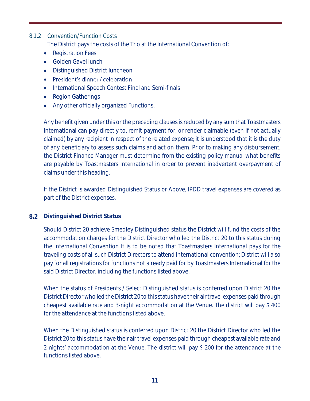# <span id="page-10-0"></span>8.1.2 Convention/Function Costs

The District pays the costs of the Trio at the International Convention of:

- Registration Fees
- Golden Gavel lunch
- Distinguished District luncheon
- President's dinner / celebration
- International Speech Contest Final and Semi-finals
- Region Gatherings
- Any other officially organized Functions.

Any benefit given under this or the preceding clauses is reduced by any sum that Toastmasters International can pay directly to, remit payment for, or render claimable (even if not actually claimed) by any recipient in respect of the related expense; it is understood that it is the duty of any beneficiary to assess such claims and act on them. Prior to making any disbursement, the District Finance Manager must determine from the existing policy manual what benefits are payable by Toastmasters International in order to prevent inadvertent overpayment of claims under this heading.

If the District is awarded Distinguished Status or Above, IPDD travel expenses are covered as part of the District expenses.

#### <span id="page-10-1"></span>**8.2** Distinguished District Status

Should District 20 achieve Smedley Distinguished status the District will fund the costs of the accommodation charges for the District Director who led the District 20 to this status during the International Convention It is to be noted that Toastmasters International pays for the traveling costs of all such District Directors to attend International convention; District will also pay for all registrations for functions not already paid for by Toastmasters International for the said District Director, including the functions listed above.

When the status of Presidents / Select Distinguished status is conferred upon District 20 the District Director who led the District 20 to this status have their air travel expenses paid through cheapest available rate and 3-night accommodation at the Venue. The district will pay \$ 400 for the attendance at the functions listed above.

When the Distinguished status is conferred upon District 20 the District Director who led the District 20 to this status have their air travel expenses paid through cheapest available rate and 2 nights' accommodation at the Venue. The district will pay \$ 200 for the attendance at the functions listed above.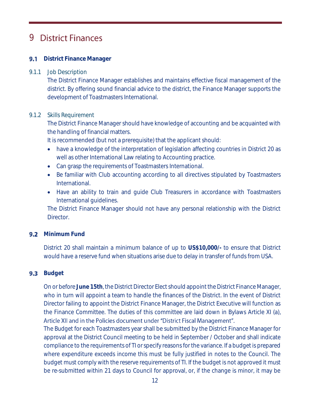# <span id="page-11-0"></span>**9** District Finances

# <span id="page-11-1"></span>**9.1** District Finance Manager

#### <span id="page-11-2"></span>9.1.1 Job Description

The District Finance Manager establishes and maintains effective fiscal management of the district. By offering sound financial advice to the district, the Finance Manager supports the development of Toastmasters International.

#### <span id="page-11-3"></span>9.1.2 Skills Requirement

The District Finance Manager should have knowledge of accounting and be acquainted with the handling of financial matters.

It is recommended (but not a prerequisite) that the applicant should:

- have a knowledge of the interpretation of legislation affecting countries in District 20 as well as other International Law relating to Accounting practice.
- Can grasp the requirements of Toastmasters International.
- Be familiar with Club accounting according to all directives stipulated by Toastmasters International.
- Have an ability to train and guide Club Treasurers in accordance with Toastmasters International guidelines.

The District Finance Manager should not have any personal relationship with the District Director.

#### <span id="page-11-4"></span>**9.2** Minimum Fund

District 20 shall maintain a minimum balance of up to **US\$10,000/-** to ensure that District would have a reserve fund when situations arise due to delay in transfer of funds from USA.

#### <span id="page-11-5"></span>**9.3** Budget

On or before **June 15th**, the District Director Elect should appoint the District Finance Manager, who in turn will appoint a team to handle the finances of the District. In the event of District Director failing to appoint the District Finance Manager, the District Executive will function as the Finance Committee. The duties of this committee are laid down in Bylaws Article XI (a), Article XII and in the Policies document under "District Fiscal Management".

The Budget for each Toastmasters year shall be submitted by the District Finance Manager for approval at the District Council meeting to be held in September / October and shall indicate compliance to the requirements of TI or specify reasons for the variance. If a budget is prepared where expenditure exceeds income this must be fully justified in notes to the Council. The budget must comply with the reserve requirements of TI. If the budget is not approved it must be re-submitted within 21 days to Council for approval, or, if the change is minor, it may be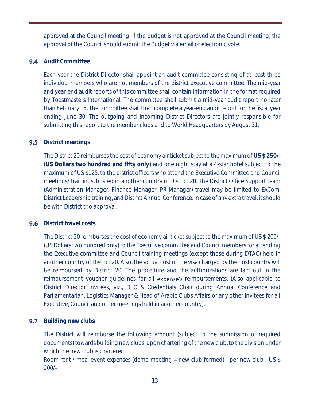approved at the Council meeting. If the budget is not approved at the Council meeting, the approval of the Council should submit the Budget via email or electronic vote.

## <span id="page-12-0"></span>**9.4** Audit Committee

Each year the District Director shall appoint an audit committee consisting of at least three individual members who are not members of the district executive committee. The mid-year and year-end audit reports of this committee shall contain information in the format required by Toastmasters International. The committee shall submit a mid-year audit report no later than February 15. The committee shall then complete a year-end audit report for the fiscal year ending June 30. The outgoing and incoming District Directors are jointly responsible for submitting this report to the member clubs and to World Headquarters by August 31.

# <span id="page-12-1"></span>**9.5** District meetings

The District 20 reimburses the cost of economy air ticket subject to the maximum of **US \$ 250/- (US Dollars two hundred and fifty only)** and one night stay at a 4-star hotel subject to the maximum of US \$125, to the district officers who attend the Executive Committee and Council meetings/ trainings, hosted in another country of District 20. The District Office Support team (Administration Manager, Finance Manager, PR Manager) travel may be limited to ExCom, District Leadership training, and District Annual Conference. In case of any extra travel, it should be with District trio approval.

# <span id="page-12-2"></span>**9.6** District travel costs

The District 20 reimburses the cost of economy air ticket subject to the maximum of US \$ 200/- (US Dollars two hundred only) to the Executive committee and Council members for attending the Executive committee and Council training meetings (except those during DTAC) held in another country of District 20. Also, the actual cost of the visa charged by the host country will be reimbursed by District 20. The procedure and the authorizations are laid out in the reimbursement voucher quidelines for all expense's reimbursements. (Also applicable to District Director invitees, viz., DLC & Credentials Chair during Annual Conference and Parliamentarian, Logistics Manager & Head of Arabic Clubs Affairs or any other invitees for all Executive, Council and other meetings held in another country).

# <span id="page-12-3"></span>**9.7** Building new clubs

The District will reimburse the following amount (subject to the submission of required documents) towards building new clubs, upon chartering of the new club, to the division under which the new club is chartered.

Room rent / meal event expenses (demo meeting  $-$  new club formed) - per new club - US \$ 200/-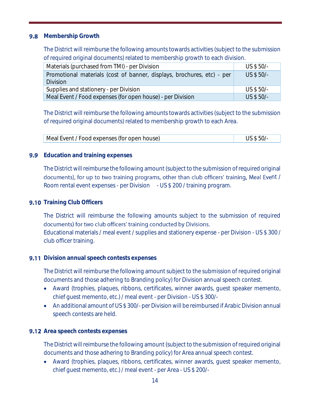#### <span id="page-13-0"></span>**9.8** Membership Growth

The District will reimburse the following amounts towards activities (subject to the submission of required original documents) related to membership growth to each division.

| Materials (purchased from TMI) - per Division                          | US \$ 50/- |
|------------------------------------------------------------------------|------------|
| Promotional materials (cost of banner, displays, brochures, etc) - per | US \$ 50/- |
| <b>Division</b>                                                        |            |
| Supplies and stationery - per Division                                 | US \$ 50/- |
| Meal Event / Food expenses (for open house) - per Division             | US \$ 50/- |

The District will reimburse the following amounts towards activities (subject to the submission of required original documents) related to membership growth to each Area.

| Meal Event / Food expenses (for open house) | US \$ 50/- |
|---------------------------------------------|------------|

#### <span id="page-13-1"></span>**9.9** Education and training expenses

The District will reimburse the following amount (subject to the submission of required original documents), for up to two training programs, other than club officers' training, Meal Event / Room rental event expenses - per Division - US \$ 200 / training program.

#### <span id="page-13-2"></span>**9.10** Training Club Officers

The District will reimburse the following amounts subject to the submission of required documents) for two club officers' training conducted by Divisions.

Educational materials / meal event / supplies and stationery expense - per Division - US \$ 300 / club officer training.

#### <span id="page-13-3"></span>**9.11** Division annual speech contests expenses

The District will reimburse the following amount subject to the submission of required original documents and those adhering to Branding policy) for Division annual speech contest.

- Award (trophies, plaques, ribbons, certificates, winner awards, guest speaker memento, chief guest memento, etc.) / meal event - per Division - US \$ 300/-
- An additional amount of US \$ 300/- per Division will be reimbursed if Arabic Division annual speech contests are held.

# <span id="page-13-4"></span>**9.12** Area speech contests expenses

The District will reimburse the following amount (subject to the submission of required original documents and those adhering to Branding policy) for Area annual speech contest.

• Award (trophies, plaques, ribbons, certificates, winner awards, guest speaker memento, chief guest memento, etc.) / meal event - per Area - US \$ 200/-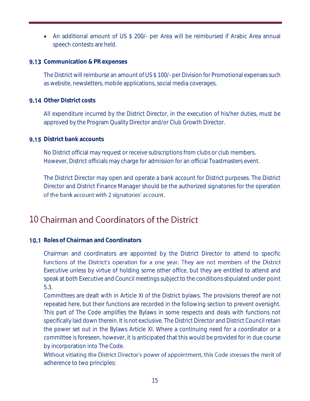• An additional amount of US \$ 200/- per Area will be reimbursed if Arabic Area annual speech contests are held.

#### <span id="page-14-0"></span>**9.13** Communication & PR expenses

The District will reimburse an amount of US \$ 100/- per Division for Promotional expenses such as website, newsletters, mobile applications, social media coverages.

#### <span id="page-14-1"></span>**9.14** Other District costs

All expenditure incurred by the District Director, in the execution of his/her duties, must be approved by the Program Quality Director and/or Club Growth Director.

#### <span id="page-14-2"></span>**9.15** District bank accounts

No District official may request or receive subscriptions from clubs or club members. However, District officials may charge for admission for an official Toastmasters event.

The District Director may open and operate a bank account for District purposes. The District Director and District Finance Manager should be the authorized signatories for the operation of the bank account with 2 signatories' account.

# <span id="page-14-3"></span>10 Chairman and Coordinators of the District

#### <span id="page-14-4"></span>**10.1** Roles of Chairman and Coordinators

Chairman and coordinators are appointed by the District Director to attend to specific functions of the District's operation for a one year. They are not members of the District Executive unless by virtue of holding some other office, but they are entitled to attend and speak at both Executive and Council meetings subject to the conditions stipulated under point [5.3.](#page-9-0)

Committees are dealt with in Article XI of the District bylaws. The provisions thereof are not repeated here, but their functions are recorded in the following section to prevent oversight. This part of The Code amplifies the Bylaws in some respects and deals with functions not specifically laid down therein. It is not exclusive. The District Director and District Council retain the power set out in the Bylaws Article XI. Where a continuing need for a coordinator or a committee is foreseen, however, it is anticipated that this would be provided for in due course by incorporation into The Code.

Without vitiating the District Director's power of appointment, this Code stresses the merit of adherence to two principles: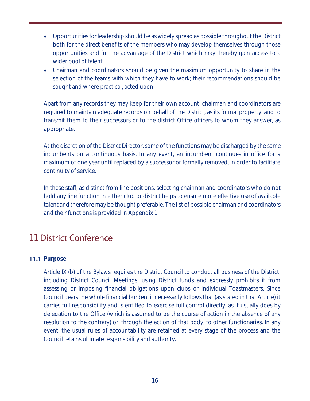- Opportunities for leadership should be as widely spread as possible throughout the District both for the direct benefits of the members who may develop themselves through those opportunities and for the advantage of the District which may thereby gain access to a wider pool of talent.
- Chairman and coordinators should be given the maximum opportunity to share in the selection of the teams with which they have to work; their recommendations should be sought and where practical, acted upon.

Apart from any records they may keep for their own account, chairman and coordinators are required to maintain adequate records on behalf of the District, as its formal property, and to transmit them to their successors or to the district Office officers to whom they answer, as appropriate.

At the discretion of the District Director, some of the functions may be discharged by the same incumbents on a continuous basis. In any event, an incumbent continues in office for a maximum of one year until replaced by a successor or formally removed, in order to facilitate continuity of service.

In these staff, as distinct from line positions, selecting chairman and coordinators who do not hold any line function in either club or district helps to ensure more effective use of available talent and therefore may be thought preferable. The list of possible chairman and coordinators and their functions is provided in Appendix 1.

# <span id="page-15-0"></span>**11 District Conference**

#### <span id="page-15-1"></span>**11.1 Purpose**

Article IX (b) of the Bylaws requires the District Council to conduct all business of the District, including District Council Meetings, using District funds and expressly prohibits it from assessing or imposing financial obligations upon clubs or individual Toastmasters. Since Council bears the whole financial burden, it necessarily follows that (as stated in that Article) it carries full responsibility and is entitled to exercise full control directly, as it usually does by delegation to the Office (which is assumed to be the course of action in the absence of any resolution to the contrary) or, through the action of that body, to other functionaries. In any event, the usual rules of accountability are retained at every stage of the process and the Council retains ultimate responsibility and authority.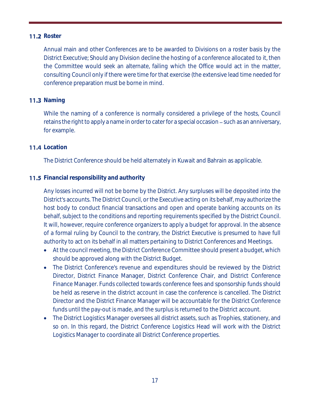## <span id="page-16-0"></span>**11.2 Roster**

Annual main and other Conferences are to be awarded to Divisions on a roster basis by the District Executive; Should any Division decline the hosting of a conference allocated to it, then the Committee would seek an alternate, failing which the Office would act in the matter, consulting Council only if there were time for that exercise (the extensive lead time needed for conference preparation must be borne in mind.

## <span id="page-16-1"></span>**11.3 Naming**

While the naming of a conference is normally considered a privilege of the hosts, Council retains the right to apply a name in order to cater for a special occasion – such as an anniversary, for example.

## <span id="page-16-2"></span>**11.4** Location

The District Conference should be held alternately in Kuwait and Bahrain as applicable.

## <span id="page-16-3"></span>**11.5** Financial responsibility and authority

Any losses incurred will not be borne by the District. Any surpluses will be deposited into the District's accounts. The District Council, or the Executive acting on its behalf, may authorize the host body to conduct financial transactions and open and operate banking accounts on its behalf, subject to the conditions and reporting requirements specified by the District Council. It will, however, require conference organizers to apply a budget for approval. In the absence of a formal ruling by Council to the contrary, the District Executive is presumed to have full authority to act on its behalf in all matters pertaining to District Conferences and Meetings.

- At the council meeting, the District Conference Committee should present a budget, which should be approved along with the District Budget.
- The District Conference's revenue and expenditures should be reviewed by the District Director, District Finance Manager, District Conference Chair, and District Conference Finance Manager. Funds collected towards conference fees and sponsorship funds should be held as reserve in the district account in case the conference is cancelled. The District Director and the District Finance Manager will be accountable for the District Conference funds until the pay-out is made, and the surplus is returned to the District account.
- The District Logistics Manager oversees all district assets, such as Trophies, stationery, and so on. In this regard, the District Conference Logistics Head will work with the District Logistics Manager to coordinate all District Conference properties.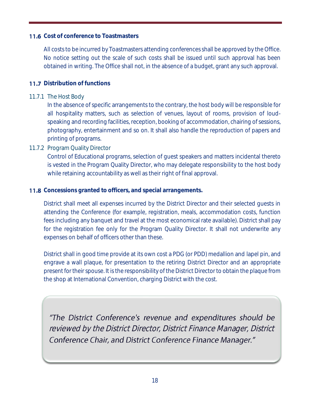## <span id="page-17-0"></span>**11.6** Cost of conference to Toastmasters

All costs to be incurred by Toastmasters attending conferences shall be approved by the Office. No notice setting out the scale of such costs shall be issued until such approval has been obtained in writing. The Office shall not, in the absence of a budget, grant any such approval.

## <span id="page-17-1"></span>**11.7** Distribution of functions

#### <span id="page-17-2"></span>11.7.1 The Host Body

In the absence of specific arrangements to the contrary, the host body will be responsible for all hospitality matters, such as selection of venues, layout of rooms, provision of loudspeaking and recording facilities, reception, booking of accommodation, chairing of sessions, photography, entertainment and so on. It shall also handle the reproduction of papers and printing of programs.

# <span id="page-17-3"></span>11.7.2 Program Quality Director

Control of Educational programs, selection of guest speakers and matters incidental thereto is vested in the Program Quality Director, who may delegate responsibility to the host body while retaining accountability as well as their right of final approval.

#### <span id="page-17-4"></span>**11.8** Concessions granted to officers, and special arrangements.

District shall meet all expenses incurred by the District Director and their selected guests in attending the Conference (for example, registration, meals, accommodation costs, function fees including any banquet and travel at the most economical rate available). District shall pay for the registration fee only for the Program Quality Director. It shall not underwrite any expenses on behalf of officers other than these.

District shall in good time provide at its own cost a PDG (or PDD) medallion and lapel pin, and engrave a wall plaque, for presentation to the retiring District Director and an appropriate present for their spouse. It is the responsibility of the District Director to obtain the plaque from the shop at International Convention, charging District with the cost.

"The District Conference's revenue and expenditures should be reviewed by the District Director, District Finance Manager, District Conference Chair, and District Conference Finance Manager."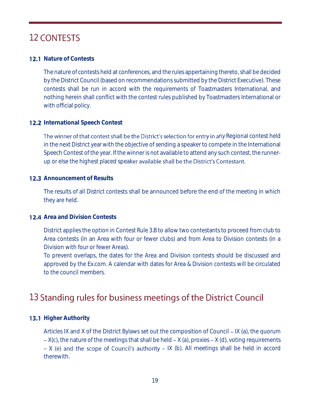# <span id="page-18-0"></span>**12 CONTESTS**

## <span id="page-18-1"></span>**12.1** Nature of Contests

The nature of contests held at conferences, and the rules appertaining thereto, shall be decided by the District Council (based on recommendations submitted by the District Executive). These contests shall be run in accord with the requirements of Toastmasters International, and nothing herein shall conflict with the contest rules published by Toastmasters International or with official policy.

## <span id="page-18-2"></span>**12.2** International Speech Contest

The winner of that contest shall be the District's selection for entry in any Regional contest held in the next District year with the objective of sending a speaker to compete in the International Speech Contest of the year. If the winner is not available to attend any such contest, the runnerup or else the highest placed speaker available shall be the District's Contestant.

#### <span id="page-18-3"></span>**12.3** Announcement of Results

The results of all District contests shall be announced before the end of the meeting in which they are held.

#### <span id="page-18-4"></span>**12.4** Area and Division Contests

District applies the option in Contest Rule 3.B to allow two contestants to proceed from club to Area contests (in an Area with four or fewer clubs) and from Area to Division contests (in a Division with four or fewer Areas).

To prevent overlaps, the dates for the Area and Division contests should be discussed and approved by the Ex.com. A calendar with dates for Area & Division contests will be circulated to the council members.

# <span id="page-18-5"></span>13 Standing rules for business meetings of the District Council

# <span id="page-18-6"></span>**13.1 Higher Authority**

Articles IX and X of the District Bylaws set out the composition of Council  $-$  IX (a), the quorum  $-X(c)$ , the nature of the meetings that shall be held  $-X$  (a), proxies  $-X$  (d), voting requirements  $- X$  (e) and the scope of Council's authority  $- X$  (b). All meetings shall be held in accord therewith.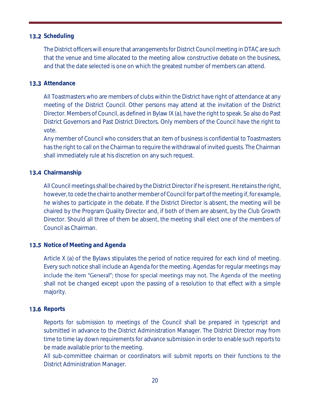#### <span id="page-19-0"></span>**13.2** Scheduling

The District officers will ensure that arrangements for District Council meeting in DTAC are such that the venue and time allocated to the meeting allow constructive debate on the business, and that the date selected is one on which the greatest number of members can attend.

#### <span id="page-19-1"></span>**13.3** Attendance

All Toastmasters who are members of clubs within the District have right of attendance at any meeting of the District Council. Other persons may attend at the invitation of the District Director. Members of Council, as defined in Bylaw IX (a), have the right to speak. So also do Past District Governors and Past District Directors. Only members of the Council have the right to vote.

Any member of Council who considers that an item of business is confidential to Toastmasters has the right to call on the Chairman to require the withdrawal of invited guests. The Chairman shall immediately rule at his discretion on any such request.

#### <span id="page-19-2"></span>**13.4** Chairmanship

All Council meetings shall be chaired by the District Director if he is present. He retains the right, however, to cede the chair to another member of Council for part of the meeting if, for example, he wishes to participate in the debate. If the District Director is absent, the meeting will be chaired by the Program Quality Director and, if both of them are absent, by the Club Growth Director. Should all three of them be absent, the meeting shall elect one of the members of Council as Chairman.

#### <span id="page-19-3"></span>**13.5** Notice of Meeting and Agenda

Article X (a) of the Bylaws stipulates the period of notice required for each kind of meeting. Every such notice shall include an Agenda for the meeting. Agendas for regular meetings may include the item "General"; those for special meetings may not. The Agenda of the meeting shall not be changed except upon the passing of a resolution to that effect with a simple majority.

#### <span id="page-19-4"></span>**13.6 Reports**

Reports for submission to meetings of the Council shall be prepared in typescript and submitted in advance to the District Administration Manager. The District Director may from time to time lay down requirements for advance submission in order to enable such reports to be made available prior to the meeting.

All sub-committee chairman or coordinators will submit reports on their functions to the District Administration Manager.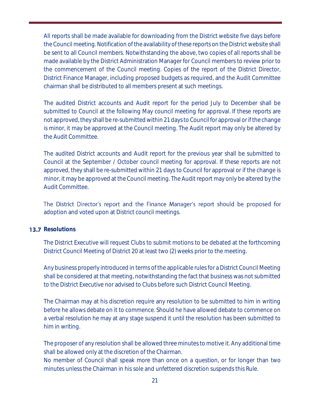All reports shall be made available for downloading from the District website five days before the Council meeting. Notification of the availability of these reports on the District website shall be sent to all Council members. Notwithstanding the above, two copies of all reports shall be made available by the District Administration Manager for Council members to review prior to the commencement of the Council meeting. Copies of the report of the District Director, District Finance Manager, including proposed budgets as required, and the Audit Committee chairman shall be distributed to all members present at such meetings.

The audited District accounts and Audit report for the period July to December shall be submitted to Council at the following May council meeting for approval. If these reports are not approved, they shall be re-submitted within 21 days to Council for approval or if the change is minor, it may be approved at the Council meeting. The Audit report may only be altered by the Audit Committee.

The audited District accounts and Audit report for the previous year shall be submitted to Council at the September / October council meeting for approval. If these reports are not approved, they shall be re-submitted within 21 days to Council for approval or if the change is minor, it may be approved at the Council meeting. The Audit report may only be altered by the Audit Committee.

The District Director's report and the Finance Manager's report should be proposed for adoption and voted upon at District council meetings.

#### <span id="page-20-0"></span>**13.7** Resolutions

The District Executive will request Clubs to submit motions to be debated at the forthcoming District Council Meeting of District 20 at least two (2) weeks prior to the meeting.

Any business properly introduced in terms of the applicable rules for a District Council Meeting shall be considered at that meeting, notwithstanding the fact that business was not submitted to the District Executive nor advised to Clubs before such District Council Meeting.

The Chairman may at his discretion require any resolution to be submitted to him in writing before he allows debate on it to commence. Should he have allowed debate to commence on a verbal resolution he may at any stage suspend it until the resolution has been submitted to him in writing.

The proposer of any resolution shall be allowed three minutes to motive it. Any additional time shall be allowed only at the discretion of the Chairman.

No member of Council shall speak more than once on a question, or for longer than two minutes unless the Chairman in his sole and unfettered discretion suspends this Rule.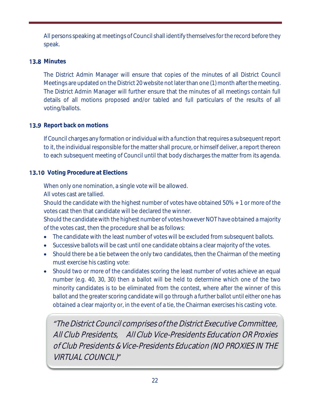All persons speaking at meetings of Council shall identify themselves for the record before they speak.

# <span id="page-21-0"></span>**13.8 Minutes**

The District Admin Manager will ensure that copies of the minutes of all District Council Meetings are updated on the District 20 website not later than one (1) month after the meeting. The District Admin Manager will further ensure that the minutes of all meetings contain full details of all motions proposed and/or tabled and full particulars of the results of all voting/ballots.

# <span id="page-21-1"></span>**13.9** Report back on motions

If Council charges any formation or individual with a function that requires a subsequent report to it, the individual responsible for the matter shall procure, or himself deliver, a report thereon to each subsequent meeting of Council until that body discharges the matter from its agenda.

# <span id="page-21-2"></span>**13.10** Voting Procedure at Elections

When only one nomination, a single vote will be allowed.

All votes cast are tallied.

Should the candidate with the highest number of votes have obtained 50% + 1 or more of the votes cast then that candidate will be declared the winner.

Should the candidate with the highest number of votes however NOT have obtained a majority of the votes cast, then the procedure shall be as follows:

- The candidate with the least number of votes will be excluded from subsequent ballots.
- Successive ballots will be cast until one candidate obtains a clear majority of the votes.
- Should there be a tie between the only two candidates, then the Chairman of the meeting must exercise his casting vote:
- Should two or more of the candidates scoring the least number of votes achieve an equal number (e.g. 40, 30, 30) then a ballot will be held to determine which one of the two minority candidates is to be eliminated from the contest, where after the winner of this ballot and the greater scoring candidate will go through a further ballot until either one has obtained a clear majority or, in the event of a tie, the Chairman exercises his casting vote.

The District Council comprises of the District Executive Committee, All Club Presidents, All Club Vice-Presidents Education OR Proxies of Club Presidents & Vice-Presidents Education (NO PROXIES IN THE VIRTUAL COUNCIL)"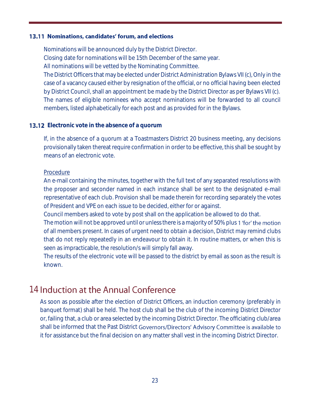#### <span id="page-22-0"></span>13.11 Nominations, candidates' forum, and elections

Nominations will be announced duly by the District Director.

Closing date for nominations will be 15th December of the same year.

All nominations will be vetted by the Nominating Committee.

The District Officers that may be elected under District Administration Bylaws VII (c), Only in the case of a vacancy caused either by resignation of the official, or no official having been elected by District Council, shall an appointment be made by the District Director as per Bylaws VII (c). The names of eligible nominees who accept nominations will be forwarded to all council members, listed alphabetically for each post and as provided for in the Bylaws.

## <span id="page-22-1"></span>**13.12** Electronic vote in the absence of a quorum

If, in the absence of a quorum at a Toastmasters District 20 business meeting, any decisions provisionally taken thereat require confirmation in order to be effective, this shall be sought by means of an electronic vote.

#### Procedure

An e-mail containing the minutes, together with the full text of any separated resolutions with the proposer and seconder named in each instance shall be sent to the designated e-mail representative of each club. Provision shall be made therein for recording separately the votes of President and VPE on each issue to be decided, either for or against.

Council members asked to vote by post shall on the application be allowed to do that.

The motion will not be approved until or unless there is a majority of 50% plus 1 'for' the motion of all members present. In cases of urgent need to obtain a decision, District may remind clubs that do not reply repeatedly in an endeavour to obtain it. In routine matters, or when this is seen as impracticable, the resolution/s will simply fall away.

The results of the electronic vote will be passed to the district by email as soon as the result is known.

# <span id="page-22-2"></span>14 Induction at the Annual Conference

As soon as possible after the election of District Officers, an induction ceremony (preferably in banquet format) shall be held. The host club shall be the club of the incoming District Director or, failing that, a club or area selected by the incoming District Director. The officiating club/area shall be informed that the Past District Governors/Directors' Advisory Committee is available to it for assistance but the final decision on any matter shall vest in the incoming District Director.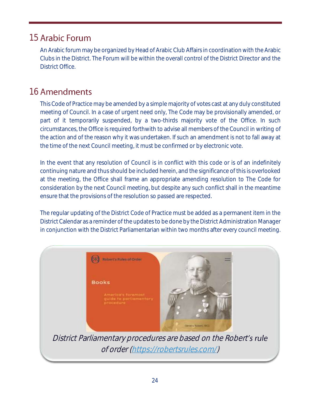# <span id="page-23-0"></span>**15 Arabic Forum**

An Arabic forum may be organized by Head of Arabic Club Affairs in coordination with the Arabic Clubs in the District. The Forum will be within the overall control of the District Director and the District Office.

# <span id="page-23-1"></span>16 Amendments

This Code of Practice may be amended by a simple majority of votes cast at any duly constituted meeting of Council. In a case of urgent need only, The Code may be provisionally amended, or part of it temporarily suspended, by a two-thirds majority vote of the Office. In such circumstances, the Office is required forthwith to advise all members of the Council in writing of the action and of the reason why it was undertaken. If such an amendment is not to fall away at the time of the next Council meeting, it must be confirmed or by electronic vote.

In the event that any resolution of Council is in conflict with this code or is of an indefinitely continuing nature and thus should be included herein, and the significance of this is overlooked at the meeting, the Office shall frame an appropriate amending resolution to The Code for consideration by the next Council meeting, but despite any such conflict shall in the meantime ensure that the provisions of the resolution so passed are respected.

The regular updating of the District Code of Practice must be added as a permanent item in the District Calendar as a reminder of the updates to be done by the District Administration Manager in conjunction with the District Parliamentarian within two months after every council meeting.



of order [\(https://robertsrules.com/\)](https://robertsrules.com/)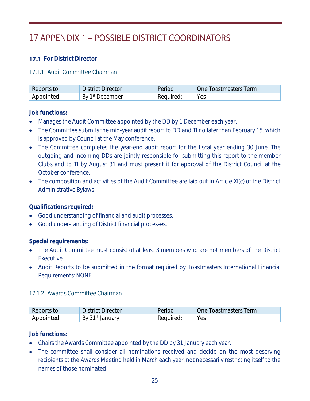# <span id="page-24-0"></span>17 APPENDIX 1 - POSSIBLE DISTRICT COORDINATORS

# <span id="page-24-1"></span>**17.1 For District Director**

#### <span id="page-24-2"></span>17.1.1 Audit Committee Chairman

| Reports to: | <b>District Director</b>    | Period.   | One Toastmasters Term |
|-------------|-----------------------------|-----------|-----------------------|
| Appointed:  | By 1 <sup>st</sup> December | Required: | Yes                   |

#### **Job functions:**

- Manages the Audit Committee appointed by the DD by 1 December each year.
- The Committee submits the mid-year audit report to DD and TI no later than February 15, which is approved by Council at the May conference.
- The Committee completes the year-end audit report for the fiscal year ending 30 June. The outgoing and incoming DDs are jointly responsible for submitting this report to the member Clubs and to TI by August 31 and must present it for approval of the District Council at the October conference.
- The composition and activities of the Audit Committee are laid out in Article XI(c) of the District Administrative Bylaws

**Qualifications required:** 

- Good understanding of financial and audit processes.
- Good understanding of District financial processes.

**Special requirements:**

- The Audit Committee must consist of at least 3 members who are not members of the District Executive.
- Audit Reports to be submitted in the format required by Toastmasters International Financial Requirements: NONE

#### <span id="page-24-3"></span>17.1.2 Awards Committee Chairman

| Reports to: | <b>District Director</b>    | Period    | One Toastmasters Term |
|-------------|-----------------------------|-----------|-----------------------|
| Appointed:  | By 31 <sup>st</sup> January | Required: | Yes                   |

## **Job functions:**

- Chairs the Awards Committee appointed by the DD by 31 January each year.
- The committee shall consider all nominations received and decide on the most deserving recipients at the Awards Meeting held in March each year, not necessarily restricting itself to the names of those nominated.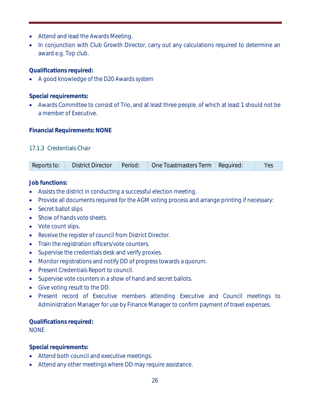- Attend and lead the Awards Meeting.
- In conjunction with Club Growth Director, carry out any calculations required to determine an award e.g. Top club.

**Qualifications required:** 

• A good knowledge of the D20 Awards system

**Special requirements:**

• Awards Committee to consist of Trio, and at least three people, of which at least 1 should not be a member of Executive.

## **Financial Requirements: NONE**

#### <span id="page-25-0"></span>17.1.3 Credentials Chair

**Job functions:**

- Assists the district in conducting a successful election meeting.
- Provide all documents required for the AGM voting process and arrange printing if necessary:
- Secret ballot slips
- Show of hands vote sheets.
- Vote count slips.
- Receive the register of council from District Director.
- Train the registration officers/vote counters.
- Supervise the credentials desk and verify proxies.
- Monitor registrations and notify DD of progress towards a quorum.
- Present Credentials Report to council.
- Supervise vote counters in a show of hand and secret ballots.
- Give voting result to the DD.
- Present record of Executive members attending Executive and Council meetings to Administration Manager for use by Finance Manager to confirm payment of travel expenses.

**Qualifications required:** NONE

**Special requirements:**

- Attend both council and executive meetings.
- Attend any other meetings where DD may require assistance.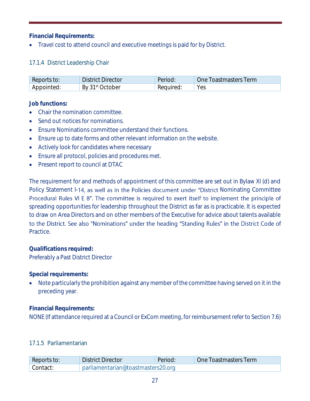**Financial Requirements:** 

• Travel cost to attend council and executive meetings is paid for by District.

# <span id="page-26-0"></span>17.1.4 District Leadership Chair

| Reports to: | <b>District Director</b>    | Period.   | One Toastmasters Term |
|-------------|-----------------------------|-----------|-----------------------|
| Appointed:  | By 31 <sup>st</sup> October | Required: | Yes                   |

**Job functions:**

- Chair the nomination committee.
- Send out notices for nominations.
- Ensure Nominations committee understand their functions.
- Ensure up to date forms and other relevant information on the website.
- Actively look for candidates where necessary
- Ensure all protocol, policies and procedures met.
- Present report to council at DTAC

The requirement for and methods of appointment of this committee are set out in Bylaw XI (d) and Policy Statement I-14, as well as in the Policies document under "District Nominating Committee Procedural Rules VI E 8". The committee is required to exert itself to implement the principle of spreading opportunities for leadership throughout the District as far as is practicable. It is expected to draw on Area Directors and on other members of the Executive for advice about talents available to the District. See also "Nominations" under the heading "Standing Rules" in the District Code of Practice.

**Qualifications required:**  Preferably a Past District Director

**Special requirements:** 

• Note particularly the prohibition against any member of the committee having served on it in the preceding year.

**Financial Requirements:** 

NONE (If attendance required at a Council or ExCom meeting, for reimbursement refer to Section 7.6)

# <span id="page-26-1"></span>17.1.5 Parliamentarian

| Reports to: | <b>District Director</b>           | Period: | One Toastmasters Term |
|-------------|------------------------------------|---------|-----------------------|
| Contact:    | parliamentarian@toastmasters20.org |         |                       |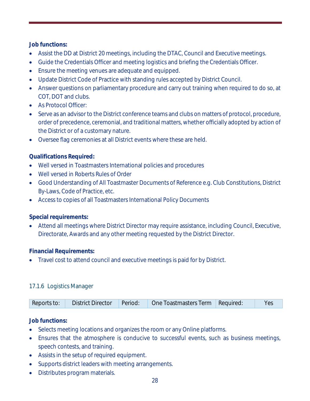**Job functions:**

- Assist the DD at District 20 meetings, including the DTAC, Council and Executive meetings.
- Guide the Credentials Officer and meeting logistics and briefing the Credentials Officer.
- Ensure the meeting venues are adequate and equipped.
- Update District Code of Practice with standing rules accepted by District Council.
- Answer questions on parliamentary procedure and carry out training when required to do so, at COT, DOT and clubs.
- As Protocol Officer:
- Serve as an advisor to the District conference teams and clubs on matters of protocol, procedure, order of precedence, ceremonial, and traditional matters, whether officially adopted by action of the District or of a customary nature.
- Oversee flag ceremonies at all District events where these are held.

**Qualifications Required:** 

- Well versed in Toastmasters International policies and procedures
- Well versed in Roberts Rules of Order
- Good Understanding of All Toastmaster Documents of Reference e.g. Club Constitutions, District By-Laws, Code of Practice, etc.
- Access to copies of all Toastmasters International Policy Documents

**Special requirements:**

• Attend all meetings where District Director may require assistance, including Council, Executive, Directorate, Awards and any other meeting requested by the District Director.

**Financial Requirements:** 

• Travel cost to attend council and executive meetings is paid for by District.

# <span id="page-27-0"></span>17.1.6 Logistics Manager

| Period:<br><b>District Director</b><br>Reports to: | One Toastmasters Term Required: |  |  |
|----------------------------------------------------|---------------------------------|--|--|
|----------------------------------------------------|---------------------------------|--|--|

**Job functions:**

- Selects meeting locations and organizes the room or any Online platforms.
- Ensures that the atmosphere is conducive to successful events, such as business meetings, speech contests, and training.
- Assists in the setup of required equipment.
- Supports district leaders with meeting arrangements.
- Distributes program materials.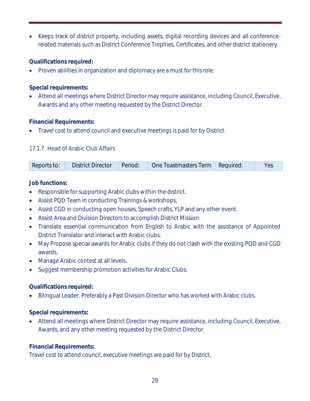• Keeps track of district property, including assets, digital recording devices and all conferencerelated materials such as District Conference Trophies, Certificates, and other district stationery.

**Qualifications required:**

• Proven abilities in organization and diplomacy are a must for this role.

**Special requirements:**

• Attend all meetings where District Director may require assistance, including Council, Executive, Awards and any other meeting requested by the District Director.

**Financial Requirements:** 

• Travel cost to attend council and executive meetings is paid for by District.

# <span id="page-28-0"></span>17.1.7 Head of Arabic Club Affairs

|  |  |  | Reports to: District Director Period: One Toastmasters Term Required: |  |  |
|--|--|--|-----------------------------------------------------------------------|--|--|
|--|--|--|-----------------------------------------------------------------------|--|--|

**Job functions:**

- Responsible for supporting Arabic clubs within the district.
- Assist PQD Team in conducting Trainings & workshops,
- Assist CGD in conducting open houses, Speech crafts, YLP and any other event.
- Assist Area and Division Directors to accomplish District Mission.
- Translate essential communication from English to Arabic with the assistance of Appointed District Translator and interact with Arabic clubs.
- May Propose special awards for Arabic clubs if they do not clash with the existing PQD and CGD awards.
- Manage Arabic contest at all levels.
- Suggest membership promotion activities for Arabic Clubs.

# **Qualifications required:**

• Bilingual Leader. Preferably a Past Division Director who has worked with Arabic clubs.

**Special requirements:** 

• Attend all meetings where District Director may require assistance, including Council, Executive, Awards, and any other meeting requested by the District Director.

**Financial Requirements:** 

Travel cost to attend council, executive meetings are paid for by District.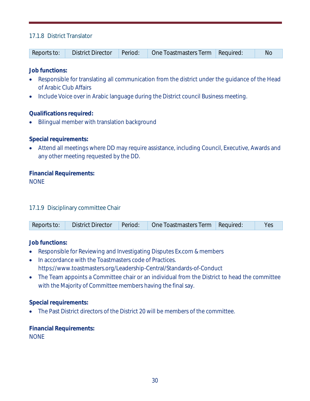# <span id="page-29-0"></span>17.1.8 District Translator

| Reports to: | <b>District Director</b> |  | Period: Cone Toastmasters Term Required: |  | Nc |
|-------------|--------------------------|--|------------------------------------------|--|----|
|-------------|--------------------------|--|------------------------------------------|--|----|

**Job functions:**

- Responsible for translating all communication from the district under the guidance of the Head of Arabic Club Affairs
- Include Voice over in Arabic language during the District council Business meeting.

**Qualifications required:** 

• Bilingual member with translation background

**Special requirements:** 

• Attend all meetings where DD may require assistance, including Council, Executive, Awards and any other meeting requested by the DD.

**Financial Requirements: NONE** 

<span id="page-29-1"></span>17.1.9 Disciplinary committee Chair

|  | Reports to: |  |  | District Director Period: One Toastmasters Term Required: |  |  |
|--|-------------|--|--|-----------------------------------------------------------|--|--|
|--|-------------|--|--|-----------------------------------------------------------|--|--|

**Job functions:**

- Responsible for Reviewing and Investigating Disputes Ex.com & members
- In accordance with the Toastmasters code of Practices. https://www.toastmasters.org/Leadership-Central/Standards-of-Conduct
- The Team appoints a Committee chair or an individual from the District to head the committee with the Majority of Committee members having the final say.

**Special requirements:** 

• The Past District directors of the District 20 will be members of the committee.

**Financial Requirements: NONE**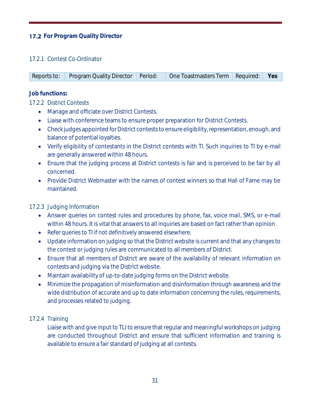# <span id="page-30-0"></span>**17.2** For Program Quality Director

#### <span id="page-30-1"></span>17.2.1 Contest Co-Ordinator

| Reports to: Program Quality Director Period: One Toastmasters Term Required: Pes |  |  |
|----------------------------------------------------------------------------------|--|--|
|                                                                                  |  |  |

**Job functions:**

<span id="page-30-2"></span>17.2.2 District Contests

- Manage and officiate over District Contests.
- Liaise with conference teams to ensure proper preparation for District Contests.
- Check judges appointed for District contests to ensure eligibility, representation, enough, and balance of potential loyalties.
- Verify eligibility of contestants in the District contests with TI. Such inquiries to TI by e-mail are generally answered within 48 hours.
- Ensure that the judging process at District contests is fair and is perceived to be fair by all concerned.
- Provide District Webmaster with the names of contest winners so that Hall of Fame may be maintained.

<span id="page-30-3"></span>17.2.3 Judging Information

- Answer queries on contest rules and procedures by phone, fax, voice mail, SMS, or e-mail within 48 hours. It is vital that answers to all inquiries are based on fact rather than opinion.
- Refer queries to TI if not definitively answered elsewhere.
- Update information on judging so that the District website is current and that any changes to the contest or judging rules are communicated to all members of District.
- Ensure that all members of District are aware of the availability of relevant information on contests and judging via the District website.
- Maintain availability of up-to-date judging forms on the District website.
- Minimize the propagation of misinformation and disinformation through awareness and the wide distribution of accurate and up to date information concerning the rules, requirements, and processes related to judging.

<span id="page-30-4"></span>17.2.4 Training

Liaise with and give input to TLI to ensure that regular and meaningful workshops on judging are conducted throughout District and ensure that sufficient information and training is available to ensure a fair standard of judging at all contests.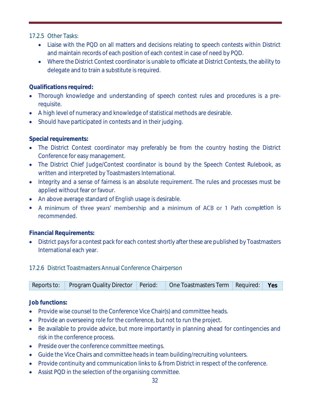<span id="page-31-0"></span>17.2.5 Other Tasks:

- Liaise with the PQD on all matters and decisions relating to speech contests within District and maintain records of each position of each contest in case of need by PQD.
- Where the District Contest coordinator is unable to officiate at District Contests, the ability to delegate and to train a substitute is required.

**Qualifications required:**

- Thorough knowledge and understanding of speech contest rules and procedures is a prerequisite.
- A high level of numeracy and knowledge of statistical methods are desirable.
- Should have participated in contests and in their judging.

**Special requirements:** 

- The District Contest coordinator may preferably be from the country hosting the District Conference for easy management.
- The District Chief Judge/Contest coordinator is bound by the Speech Contest Rulebook, as written and interpreted by Toastmasters International.
- Integrity and a sense of fairness is an absolute requirement. The rules and processes must be applied without fear or favour.
- An above average standard of English usage is desirable.
- A minimum of three years' membership and a minimum of ACB or 1 Path completion is recommended.

**Financial Requirements:** 

• District pays for a contest pack for each contest shortly after these are published by Toastmasters International each year.

<span id="page-31-1"></span>17.2.6 District Toastmasters Annual Conference Chairperson

| Reports to: Program Quality Director Period: One Toastmasters Term Required: Yes |  |  |
|----------------------------------------------------------------------------------|--|--|

**Job functions:**

- Provide wise counsel to the Conference Vice Chair(s) and committee heads.
- Provide an overseeing role for the conference, but not to run the project.
- Be available to provide advice, but more importantly in planning ahead for contingencies and risk in the conference process.
- Preside over the conference committee meetings.
- Guide the Vice Chairs and committee heads in team building/recruiting volunteers.
- Provide continuity and communication links to & from District in respect of the conference.
- Assist PQD in the selection of the organising committee.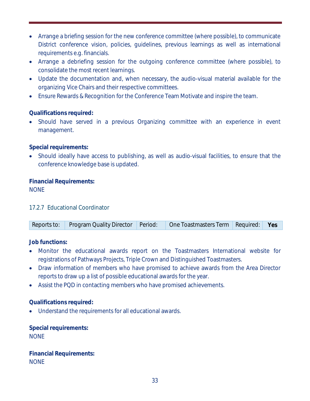- Arrange a briefing session for the new conference committee (where possible), to communicate District conference vision, policies, guidelines, previous learnings as well as international requirements e.g. financials.
- Arrange a debriefing session for the outgoing conference committee (where possible), to consolidate the most recent learnings.
- Update the documentation and, when necessary, the audio-visual material available for the organizing Vice Chairs and their respective committees.
- Ensure Rewards & Recognition for the Conference Team Motivate and inspire the team.

# **Qualifications required:**

• Should have served in a previous Organizing committee with an experience in event management.

# **Special requirements:**

• Should ideally have access to publishing, as well as audio-visual facilities, to ensure that the conference knowledge base is updated.

## **Financial Requirements:**  NONE

# <span id="page-32-0"></span>17.2.7 Educational Coordinator

| Reports to: Program Quality Director   Period:   One Toastmasters Term   Required:   Yes |  |  |
|------------------------------------------------------------------------------------------|--|--|
|                                                                                          |  |  |

**Job functions:**

- Monitor the educational awards report on the Toastmasters International website for registrations of Pathways Projects, Triple Crown and Distinguished Toastmasters.
- Draw information of members who have promised to achieve awards from the Area Director reports to draw up a list of possible educational awards for the year.
- Assist the PQD in contacting members who have promised achievements.

# **Qualifications required:**

• Understand the requirements for all educational awards.

**Special requirements: NONE** 

**Financial Requirements: NONE**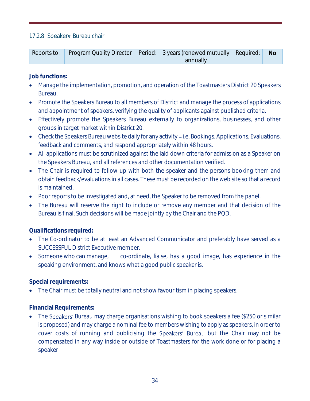## <span id="page-33-0"></span>17.2.8 Speakers' Bureau chair

|  | Reports to: Program Quality Director Period: 3 years (renewed mutually Required: No |  |
|--|-------------------------------------------------------------------------------------|--|
|  | annually                                                                            |  |

**Job functions:**

- Manage the implementation, promotion, and operation of the Toastmasters District 20 Speakers Bureau.
- Promote the Speakers Bureau to all members of District and manage the process of applications and appointment of speakers, verifying the quality of applicants against published criteria.
- Effectively promote the Speakers Bureau externally to organizations, businesses, and other groups in target market within District 20.
- Check the Speakers Bureau website daily for any activity i.e. Bookings, Applications, Evaluations, feedback and comments, and respond appropriately within 48 hours.
- All applications must be scrutinized against the laid down criteria for admission as a Speaker on the Speakers Bureau, and all references and other documentation verified.
- The Chair is required to follow up with both the speaker and the persons booking them and obtain feedback/evaluations in all cases. These must be recorded on the web site so that a record is maintained.
- Poor reports to be investigated and, at need, the Speaker to be removed from the panel.
- The Bureau will reserve the right to include or remove any member and that decision of the Bureau is final. Such decisions will be made jointly by the Chair and the PQD.

**Qualifications required:** 

- The Co-ordinator to be at least an Advanced Communicator and preferably have served as a SUCCESSFUL District Executive member.
- Someone who can manage, co-ordinate, liaise, has a good image, has experience in the speaking environment, and knows what a good public speaker is.

**Special requirements:**

• The Chair must be totally neutral and not show favouritism in placing speakers.

**Financial Requirements:**

The Speakers' Bureau may charge organisations wishing to book speakers a fee (\$250 or similar is proposed) and may charge a nominal fee to members wishing to apply as speakers, in order to cover costs of running and publicising the Speakers' Bureau but the Chair may not be compensated in any way inside or outside of Toastmasters for the work done or for placing a speaker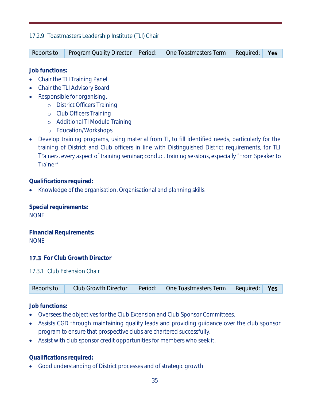## <span id="page-34-0"></span>17.2.9 Toastmasters Leadership Institute (TLI) Chair

| Reports to: |  | Program Quality Director Period: One Toastmasters Term Required: Yes |  |
|-------------|--|----------------------------------------------------------------------|--|
|             |  |                                                                      |  |

**Job functions:**

- Chair the TLI Training Panel
- Chair the TLI Advisory Board
- Responsible for organising.
	- o District Officers Training
	- o Club Officers Training
	- o Additional TI Module Training
	- o Education/Workshops
- Develop training programs, using material from TI, to fill identified needs, particularly for the training of District and Club officers in line with Distinguished District requirements, for TLI Trainers, every aspect of training seminar; conduct training sessions, especially "From Speaker to Trainer".

**Qualifications required:** 

• Knowledge of the organisation. Organisational and planning skills

**Special requirements:** NONE

**Financial Requirements:** NONE

<span id="page-34-1"></span>**17.3** For Club Growth Director

<span id="page-34-2"></span>17.3.1 Club Extension Chair

| Reports to: | <b>Club Growth Director</b> | Period: | One Toastmasters Term | Required: Yes |  |
|-------------|-----------------------------|---------|-----------------------|---------------|--|
|-------------|-----------------------------|---------|-----------------------|---------------|--|

**Job functions:**

- Oversees the objectives for the Club Extension and Club Sponsor Committees.
- Assists CGD through maintaining quality leads and providing guidance over the club sponsor program to ensure that prospective clubs are chartered successfully.
- Assist with club sponsor credit opportunities for members who seek it.

**Qualifications required:**

• Good understanding of District processes and of strategic growth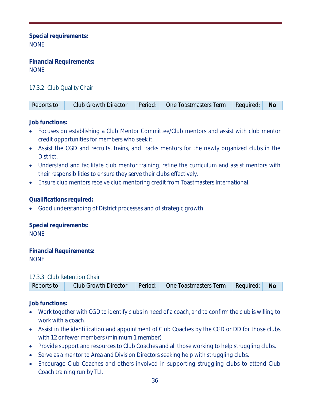**Special requirements:**  NONE

**Financial Requirements:**  NONE

# <span id="page-35-0"></span>17.3.2 Club Quality Chair

| Reports to: |  |  | Club Growth Director   Period:   One Toastmasters Term   Required:   No |  |  |
|-------------|--|--|-------------------------------------------------------------------------|--|--|
|-------------|--|--|-------------------------------------------------------------------------|--|--|

**Job functions:**

- Focuses on establishing a Club Mentor Committee/Club mentors and assist with club mentor credit opportunities for members who seek it.
- Assist the CGD and recruits, trains, and tracks mentors for the newly organized clubs in the District.
- Understand and facilitate club mentor training; refine the curriculum and assist mentors with their responsibilities to ensure they serve their clubs effectively.
- Ensure club mentors receive club mentoring credit from Toastmasters International.

**Qualifications required:**

• Good understanding of District processes and of strategic growth

**Special requirements: NONE** 

**Financial Requirements: NONE** 

#### <span id="page-35-1"></span>17.3.3 Club Retention Chair

| Reports to: |  | Club Growth Director   Period:   One Toastmasters Term   Required:   No |  |
|-------------|--|-------------------------------------------------------------------------|--|

**Job functions:**

- Work together with CGD to identify clubs in need of a coach, and to confirm the club is willing to work with a coach.
- Assist in the identification and appointment of Club Coaches by the CGD or DD for those clubs with 12 or fewer members (minimum 1 member)
- Provide support and resources to Club Coaches and all those working to help struggling clubs.
- Serve as a mentor to Area and Division Directors seeking help with struggling clubs.
- Encourage Club Coaches and others involved in supporting struggling clubs to attend Club Coach training run by TLI.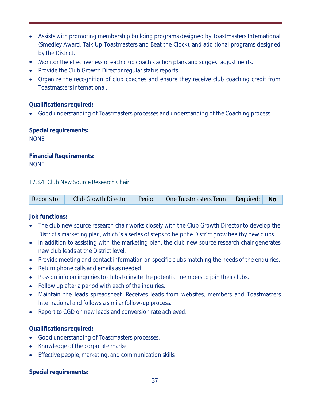- Assists with promoting membership building programs designed by Toastmasters International (Smedley Award, Talk Up Toastmasters and Beat the Clock), and additional programs designed by the District.
- Monitor the effectiveness of each club coach's action plans and suggest adjustments.
- Provide the Club Growth Director regular status reports.
- Organize the recognition of club coaches and ensure they receive club coaching credit from Toastmasters International.

#### **Qualifications required:**

• Good understanding of Toastmasters processes and understanding of the Coaching process

**Special requirements: NONE** 

**Financial Requirements:** NONE

#### <span id="page-36-0"></span>17.3.4 Club New Source Research Chair

**Job functions:**

- The club new source research chair works closely with the Club Growth Director to develop the District's marketing plan, which is a series of steps to help the District grow healthy new clubs.
- In addition to assisting with the marketing plan, the club new source research chair generates new club leads at the District level.
- Provide meeting and contact information on specific clubs matching the needs of the enquiries.
- Return phone calls and emails as needed.
- Pass on info on inquiries to clubs to invite the potential members to join their clubs.
- Follow up after a period with each of the inquiries.
- Maintain the leads spreadsheet. Receives leads from websites, members and Toastmasters International and follows a similar follow-up process.
- Report to CGD on new leads and conversion rate achieved.

**Qualifications required:**

- Good understanding of Toastmasters processes.
- Knowledge of the corporate market
- Effective people, marketing, and communication skills

**Special requirements:**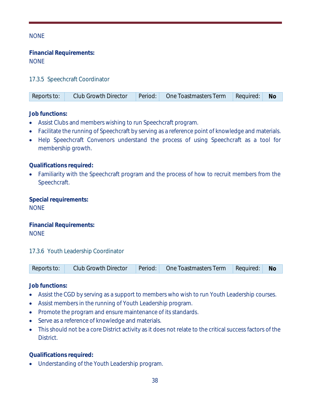## NONE

**Financial Requirements:** NONE

## <span id="page-37-0"></span>17.3.5 Speechcraft Coordinator

|  | Reports to: | <b>Club Growth Director</b> | Period: | One Toastmasters Term Required: |  | <b>No</b> |
|--|-------------|-----------------------------|---------|---------------------------------|--|-----------|
|--|-------------|-----------------------------|---------|---------------------------------|--|-----------|

**Job functions:**

- Assist Clubs and members wishing to run Speechcraft program.
- Facilitate the running of Speechcraft by serving as a reference point of knowledge and materials.
- Help Speechcraft Convenors understand the process of using Speechcraft as a tool for membership growth.

**Qualifications required:**

• Familiarity with the Speechcraft program and the process of how to recruit members from the Speechcraft.

**Special requirements:**  NONE

**Financial Requirements: NONE** 

#### <span id="page-37-1"></span>17.3.6 Youth Leadership Coordinator

|  | Reports to: | <b>Club Growth Director</b> | Period: | One Toastmasters Term | Required: | Νo |
|--|-------------|-----------------------------|---------|-----------------------|-----------|----|
|--|-------------|-----------------------------|---------|-----------------------|-----------|----|

**Job functions:**

- Assist the CGD by serving as a support to members who wish to run Youth Leadership courses.
- Assist members in the running of Youth Leadership program.
- Promote the program and ensure maintenance of its standards.
- Serve as a reference of knowledge and materials.
- This should not be a core District activity as it does not relate to the critical success factors of the **District**

**Qualifications required:** 

• Understanding of the Youth Leadership program.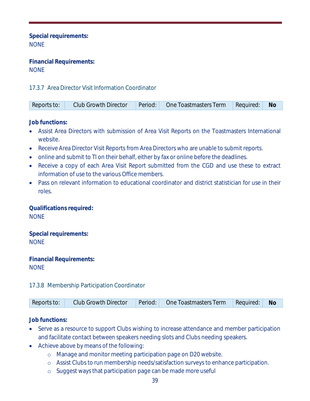**Special requirements:**  NONE

**Financial Requirements:**  NONE

# <span id="page-38-0"></span>17.3.7 Area Director Visit Information Coordinator

| Reports to: |  |  | Club Growth Director   Period:   One Toastmasters Term | Required: | Nc |
|-------------|--|--|--------------------------------------------------------|-----------|----|
|-------------|--|--|--------------------------------------------------------|-----------|----|

**Job functions:**

- Assist Area Directors with submission of Area Visit Reports on the Toastmasters International website.
- Receive Area Director Visit Reports from Area Directors who are unable to submit reports.
- online and submit to TI on their behalf, either by fax or online before the deadlines.
- Receive a copy of each Area Visit Report submitted from the CGD and use these to extract information of use to the various Office members.
- Pass on relevant information to educational coordinator and district statistician for use in their roles.

**Qualifications required: NONE** 

**Special requirements:** NONE

**Financial Requirements: NONE** 

<span id="page-38-1"></span>17.3.8 Membership Participation Coordinator

| Reports to: |  |  | Club Growth Director   Period:   One Toastmasters Term   Required:   No |  |  |
|-------------|--|--|-------------------------------------------------------------------------|--|--|
|-------------|--|--|-------------------------------------------------------------------------|--|--|

**Job functions:**

- Serve as a resource to support Clubs wishing to increase attendance and member participation and facilitate contact between speakers needing slots and Clubs needing speakers.
- Achieve above by means of the following:
	- o Manage and monitor meeting participation page on D20 website.
	- o Assist Clubs to run membership needs/satisfaction surveys to enhance participation.
	- o Suggest ways that participation page can be made more useful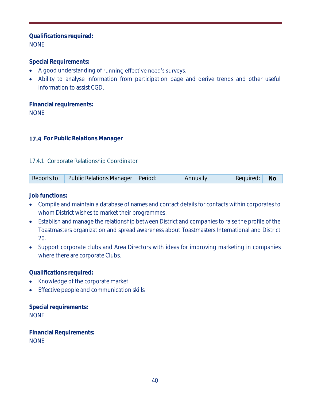## **Qualifications required:** NONE

**Special Requirements:**

- A good understanding of running effective need's surveys.
- Ability to analyse information from participation page and derive trends and other useful information to assist CGD.

**Financial requirements: NONE** 

## <span id="page-39-0"></span>**17.4 For Public Relations Manager**

## <span id="page-39-1"></span>17.4.1 Corporate Relationship Coordinator

|  | Reports to:   Public Relations Manager   Period: |  | Annually | Required: No |  |
|--|--------------------------------------------------|--|----------|--------------|--|
|--|--------------------------------------------------|--|----------|--------------|--|

**Job functions:**

- Compile and maintain a database of names and contact details for contacts within corporates to whom District wishes to market their programmes.
- Establish and manage the relationship between District and companies to raise the profile of the Toastmasters organization and spread awareness about Toastmasters International and District 20.
- Support corporate clubs and Area Directors with ideas for improving marketing in companies where there are corporate Clubs.

**Qualifications required:**

- Knowledge of the corporate market
- Effective people and communication skills

**Special requirements:** NONE

**Financial Requirements: NONE**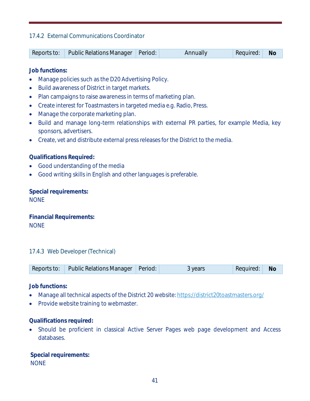## <span id="page-40-0"></span>17.4.2 External Communications Coordinator

| Reports to: Public Relations Manager Period: | Annually | Required: | No |
|----------------------------------------------|----------|-----------|----|
|                                              |          |           |    |

**Job functions:**

- Manage policies such as the D20 Advertising Policy.
- Build awareness of District in target markets.
- Plan campaigns to raise awareness in terms of marketing plan.
- Create interest for Toastmasters in targeted media e.g. Radio, Press.
- Manage the corporate marketing plan.
- Build and manage long-term relationships with external PR parties, for example Media, key sponsors, advertisers.
- Create, vet and distribute external press releases for the District to the media.

**Qualifications Required:**

- Good understanding of the media
- Good writing skills in English and other languages is preferable.

**Special requirements:** NONE

**Financial Requirements: NONE** 

#### <span id="page-40-1"></span>17.4.3 Web Developer (Technical)

| Public Relations Manager   Period:<br>Reports to: |  | 3 years | Required: | Nc |
|---------------------------------------------------|--|---------|-----------|----|
|---------------------------------------------------|--|---------|-----------|----|

**Job functions:**

- Manage all technical aspects of the District 20 website:<https://district20toastmasters.org/>
- Provide website training to webmaster.

**Qualifications required:**

• Should be proficient in classical Active Server Pages web page development and Access databases.

**Special requirements:** NONE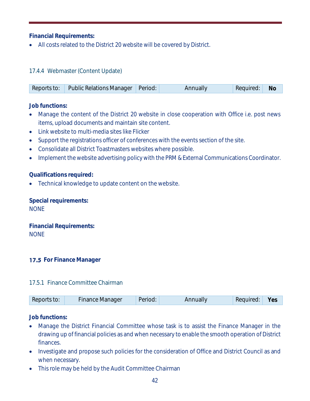**Financial Requirements:**

• All costs related to the District 20 website will be covered by District.

# <span id="page-41-0"></span>17.4.4 Webmaster (Content Update)

|  | Reports to: Public Relations Manager Period: |  | <b>Annually</b> | Required: No |  |
|--|----------------------------------------------|--|-----------------|--------------|--|
|--|----------------------------------------------|--|-----------------|--------------|--|

**Job functions:**

- Manage the content of the District 20 website in close cooperation with Office i.e. post news items, upload documents and maintain site content.
- Link website to multi-media sites like Flicker
- Support the registrations officer of conferences with the events section of the site.
- Consolidate all District Toastmasters websites where possible.
- Implement the website advertising policy with the PRM & External Communications Coordinator.

**Qualifications required:**

• Technical knowledge to update content on the website.

**Special requirements: NONE** 

**Financial Requirements:** NONE

# <span id="page-41-1"></span>**17.5** For Finance Manager

# <span id="page-41-2"></span>17.5.1 Finance Committee Chairman

**Job functions:**

- Manage the District Financial Committee whose task is to assist the Finance Manager in the drawing up of financial policies as and when necessary to enable the smooth operation of District finances.
- Investigate and propose such policies for the consideration of Office and District Council as and when necessary.
- This role may be held by the Audit Committee Chairman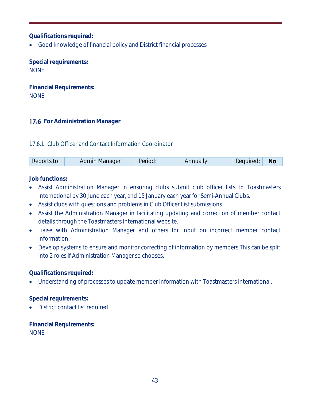**Qualifications required:**

• Good knowledge of financial policy and District financial processes

**Special requirements: NONE** 

**Financial Requirements: NONE** 

# <span id="page-42-0"></span>**17.6 For Administration Manager**

## <span id="page-42-1"></span>17.6.1 Club Officer and Contact Information Coordinator

| Reports to: | Admin Manager | Period: | Annually | Required: | Nc |
|-------------|---------------|---------|----------|-----------|----|
|-------------|---------------|---------|----------|-----------|----|

**Job functions:**

- Assist Administration Manager in ensuring clubs submit club officer lists to Toastmasters International by 30 June each year, and 15 January each year for Semi-Annual Clubs.
- Assist clubs with questions and problems in Club Officer List submissions
- Assist the Administration Manager in facilitating updating and correction of member contact details through the Toastmasters International website.
- Liaise with Administration Manager and others for input on incorrect member contact information.
- Develop systems to ensure and monitor correcting of information by members This can be split into 2 roles if Administration Manager so chooses.

**Qualifications required:**

• Understanding of processes to update member information with Toastmasters International.

**Special requirements:** 

• District contact list required.

**Financial Requirements: NONE**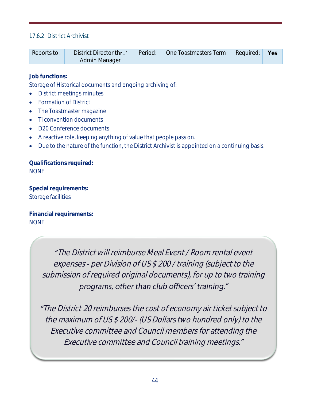## <span id="page-43-0"></span>17.6.2 District Archivist

| District Director thru'<br>Period:<br>Reports to:<br>Admin Manager | One Toastmasters Term<br>Required:<br>Yes |
|--------------------------------------------------------------------|-------------------------------------------|
|--------------------------------------------------------------------|-------------------------------------------|

**Job functions:**

Storage of Historical documents and ongoing archiving of:

- District meetings minutes
- Formation of District
- The Toastmaster magazine
- TI convention documents
- D20 Conference documents
- A reactive role, keeping anything of value that people pass on.
- Due to the nature of the function, the District Archivist is appointed on a continuing basis.

**Qualifications required: NONE** 

**Special requirements:** Storage facilities

**Financial requirements:** NONE

> The District will reimburse Meal Event / Room rental event expenses - per Division of US \$ 200 / training (subject to the submission of required original documents), for up to two training programs, other than club officers' training."

The District 20 reimburses the cost of economy air ticket subject to the maximum of US \$ 200/- (US Dollars two hundred only) to the Executive committee and Council members for attending the Executive committee and Council training meetings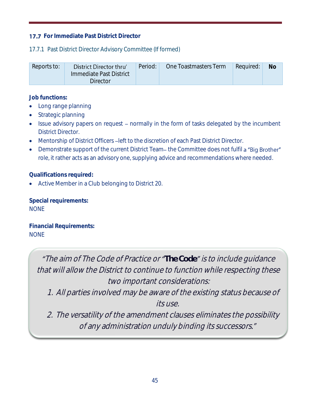# <span id="page-44-0"></span>**17.7** For Immediate Past District Director

# <span id="page-44-1"></span>17.7.1 Past District Director Advisory Committee (If formed)

| Reports to: | District Director thru'<br>Immediate Past District<br>Director | Period: | One Toastmasters Term | Required: | No |
|-------------|----------------------------------------------------------------|---------|-----------------------|-----------|----|
|             |                                                                |         |                       |           |    |

**Job functions:**

- Long range planning
- Strategic planning
- Issue advisory papers on request normally in the form of tasks delegated by the incumbent District Director.
- Mentorship of District Officers left to the discretion of each Past District Director.
- Demonstrate support of the current District Team-the Committee does not fulfil a "Big Brother" role, it rather acts as an advisory one, supplying advice and recommendations where needed.

**Qualifications required:**

• Active Member in a Club belonging to District 20.

**Special requirements:**  NONE

**Financial Requirements:**  NONE

> "The aim of The Code of Practice or "The Code" is to include guidance that will allow the District to continue to function while respecting these two important considerations:

1. All parties involved may be aware of the existing status because of its use.

2. The versatility of the amendment clauses eliminates the possibility of any administration unduly binding its successors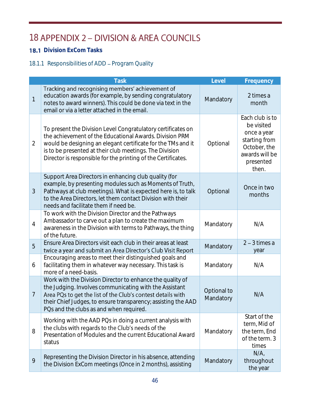# <span id="page-45-0"></span>18 APPENDIX 2 - DIVISION & AREA COUNCILS

# <span id="page-45-1"></span>**18.1** Division ExCom Tasks

# <span id="page-45-2"></span>18.1.1 Responsibilities of ADD - Program Quality

|                | <b>Task</b>                                                                                                                                                                                                                                                                                                         | Level                    | Frequency                                                                                                             |
|----------------|---------------------------------------------------------------------------------------------------------------------------------------------------------------------------------------------------------------------------------------------------------------------------------------------------------------------|--------------------------|-----------------------------------------------------------------------------------------------------------------------|
| 1              | Tracking and recognising members' achievement of<br>education awards (for example, by sending congratulatory<br>notes to award winners). This could be done via text in the<br>email or via a letter attached in the email.                                                                                         | Mandatory                | 2 times a<br>month                                                                                                    |
| $\overline{2}$ | To present the Division Level Congratulatory certificates on<br>the achievement of the Educational Awards. Division PRM<br>would be designing an elegant certificate for the TMs and it<br>is to be presented at their club meetings. The Division<br>Director is responsible for the printing of the Certificates. | Optional                 | Each club is to<br>be visited<br>once a year<br>starting from<br>October, the<br>awards will be<br>presented<br>then. |
| 3              | Support Area Directors in enhancing club quality (for<br>example, by presenting modules such as Moments of Truth,<br>Pathways at club meetings). What is expected here is, to talk<br>to the Area Directors, let them contact Division with their<br>needs and facilitate them if need be.                          | Optional                 | Once in two<br>months                                                                                                 |
| 4              | To work with the Division Director and the Pathways<br>Ambassador to carve out a plan to create the maximum<br>awareness in the Division with terms to Pathways, the thing<br>of the future.                                                                                                                        | Mandatory                | N/A                                                                                                                   |
| 5              | Ensure Area Directors visit each club in their areas at least<br>twice a year and submit an Area Director's Club Visit Report                                                                                                                                                                                       | Mandatory                | $2 - 3$ times a<br>year                                                                                               |
| 6              | Encouraging areas to meet their distinguished goals and<br>facilitating them in whatever way necessary. This task is<br>more of a need-basis.                                                                                                                                                                       | Mandatory                | N/A                                                                                                                   |
| $\overline{7}$ | Work with the Division Director to enhance the quality of<br>the Judging. Involves communicating with the Assistant<br>Area PQs to get the list of the Club's contest details with<br>their Chief Judges, to ensure transparency; assisting the AAD<br>PQs and the clubs as and when required.                      | Optional to<br>Mandatory | N/A                                                                                                                   |
| 8              | Working with the AAD PQs in doing a current analysis with<br>the clubs with regards to the Club's needs of the<br>Presentation of Modules and the current Educational Award<br>status                                                                                                                               | Mandatory                | Start of the<br>term, Mid of<br>the term, End<br>of the term. 3<br>times                                              |
| 9              | Representing the Division Director in his absence, attending<br>the Division ExCom meetings (Once in 2 months), assisting                                                                                                                                                                                           | Mandatory                | N/A<br>throughout<br>the year                                                                                         |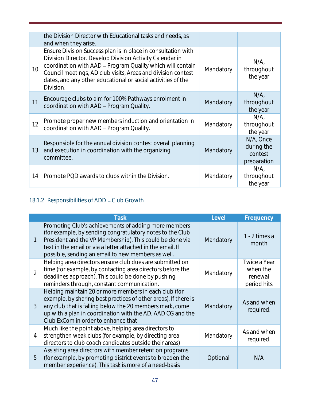|    | the Division Director with Educational tasks and needs, as<br>and when they arise.                                                                                                                                                                                                                                                   |           |                                                   |
|----|--------------------------------------------------------------------------------------------------------------------------------------------------------------------------------------------------------------------------------------------------------------------------------------------------------------------------------------|-----------|---------------------------------------------------|
| 10 | Ensure Division Success plan is in place in consultation with<br>Division Director. Develop Division Activity Calendar in<br>coordination with AAD - Program Quality which will contain<br>Council meetings, AD club visits, Areas and division contest<br>dates, and any other educational or social activities of the<br>Division. | Mandatory | N/A<br>throughout<br>the year                     |
| 11 | Encourage clubs to aim for 100% Pathways enrolment in<br>coordination with AAD - Program Quality.                                                                                                                                                                                                                                    | Mandatory | N/A<br>throughout<br>the year                     |
| 12 | Promote proper new members induction and orientation in<br>coordination with AAD - Program Quality.                                                                                                                                                                                                                                  | Mandatory | N/A<br>throughout<br>the year                     |
| 13 | Responsible for the annual division contest overall planning<br>and execution in coordination with the organizing<br>committee.                                                                                                                                                                                                      | Mandatory | N/A, Once<br>during the<br>contest<br>preparation |
| 14 | Promote PQD awards to clubs within the Division.                                                                                                                                                                                                                                                                                     | Mandatory | N/A<br>throughout<br>the year                     |

# <span id="page-46-0"></span>18.1.2 Responsibilities of ADD - Club Growth

|                | Task                                                                                                                                                                                                                                                                                               | Level     | Frequency                                          |
|----------------|----------------------------------------------------------------------------------------------------------------------------------------------------------------------------------------------------------------------------------------------------------------------------------------------------|-----------|----------------------------------------------------|
|                | Promoting Club's achievements of adding more members<br>(for example, by sending congratulatory notes to the Club<br>President and the VP Membership). This could be done via<br>text in the email or via a letter attached in the email. If<br>possible, sending an email to new members as well. | Mandatory | 1 - 2 times a<br>month                             |
| $\overline{2}$ | Helping area directors ensure club dues are submitted on<br>time (for example, by contacting area directors before the<br>deadlines approach). This could be done by pushing<br>reminders through, constant communication.                                                                         | Mandatory | Twice a Year<br>when the<br>renewal<br>period hits |
| 3              | Helping maintain 20 or more members in each club (for<br>example, by sharing best practices of other areas). If there is<br>any club that is falling below the 20 members mark, come<br>up with a plan in coordination with the AD, AAD CG and the<br>Club ExCom in order to enhance that          | Mandatory | As and when<br>required.                           |
| 4              | Much like the point above, helping area directors to<br>strengthen weak clubs (for example, by directing area<br>directors to club coach candidates outside their areas)                                                                                                                           | Mandatory | As and when<br>required.                           |
| 5              | Assisting area directors with member retention programs<br>(for example, by promoting district events to broaden the<br>member experience). This task is more of a need-basis                                                                                                                      | Optional  | N/A                                                |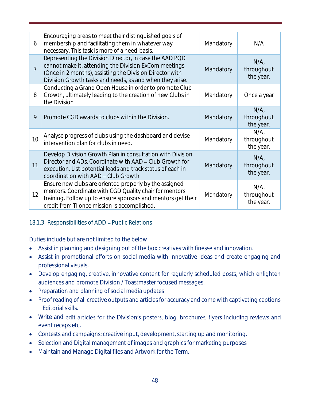| 6              | Encouraging areas to meet their distinguished goals of<br>membership and facilitating them in whatever way<br>necessary. This task is more of a need-basis.                                                                              | Mandatory | N/A                            |
|----------------|------------------------------------------------------------------------------------------------------------------------------------------------------------------------------------------------------------------------------------------|-----------|--------------------------------|
| $\overline{7}$ | Representing the Division Director, in case the AAD PQD<br>cannot make it, attending the Division ExCom meetings<br>(Once in 2 months), assisting the Division Director with<br>Division Growth tasks and needs, as and when they arise. | Mandatory | N/A<br>throughout<br>the year. |
| 8              | Conducting a Grand Open House in order to promote Club<br>Growth, ultimately leading to the creation of new Clubs in<br>the Division                                                                                                     | Mandatory | Once a year                    |
| 9              | Promote CGD awards to clubs within the Division.                                                                                                                                                                                         | Mandatory | N/A<br>throughout<br>the year. |
| 10             | Analyse progress of clubs using the dashboard and devise<br>intervention plan for clubs in need.                                                                                                                                         | Mandatory | N/A<br>throughout<br>the year. |
| 11             | Develop Division Growth Plan in consultation with Division<br>Director and ADs. Coordinate with AAD – Club Growth for<br>execution. List potential leads and track status of each in<br>coordination with AAD - Club Growth              | Mandatory | N/A<br>throughout<br>the year. |
| 12             | Ensure new clubs are oriented properly by the assigned<br>mentors. Coordinate with CGD Quality chair for mentors<br>training. Follow up to ensure sponsors and mentors get their<br>credit from TI once mission is accomplished.         | Mandatory | N/A<br>throughout<br>the year. |

# <span id="page-47-0"></span>18.1.3 Responsibilities of ADD - Public Relations

Duties include but are not limited to the below:

- Assist in planning and designing out of the box creatives with finesse and innovation.
- Assist in promotional efforts on social media with innovative ideas and create engaging and professional visuals.
- Develop engaging, creative, innovative content for regularly scheduled posts, which enlighten audiences and promote Division / Toastmaster focused messages.
- Preparation and planning of social media updates
- Proof reading of all creative outputs and articles for accuracy and come with captivating captions Editorial skills.
- Write and edit articles for the Division's posters, blog, brochures, flyers including reviews and event recaps etc.
- Contests and campaigns: creative input, development, starting up and monitoring.
- Selection and Digital management of images and graphics for marketing purposes
- Maintain and Manage Digital files and Artwork for the Term.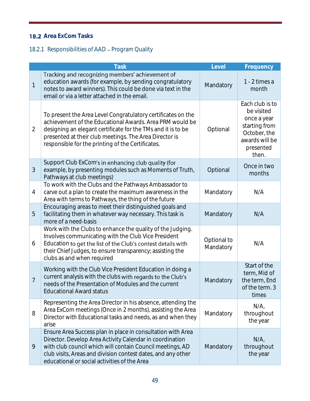# <span id="page-48-0"></span>**18.2** Area ExCom Tasks

# <span id="page-48-1"></span>18.2.1 Responsibilities of AAD - Program Quality

|                | <b>Task</b>                                                                                                                                                                                                                                                                                             | Level                    | Frequency                                                                                                             |
|----------------|---------------------------------------------------------------------------------------------------------------------------------------------------------------------------------------------------------------------------------------------------------------------------------------------------------|--------------------------|-----------------------------------------------------------------------------------------------------------------------|
| $\mathbf{1}$   | Tracking and recognizing members' achievement of<br>education awards (for example, by sending congratulatory<br>notes to award winners). This could be done via text in the<br>email or via a letter attached in the email.                                                                             | Mandatory                | 1 - 2 times a<br>month                                                                                                |
| $\overline{2}$ | To present the Area Level Congratulatory certificates on the<br>achievement of the Educational Awards. Area PRM would be<br>designing an elegant certificate for the TMs and it is to be<br>presented at their club meetings. The Area Director is<br>responsible for the printing of the Certificates. | Optional                 | Each club is to<br>be visited<br>once a year<br>starting from<br>October, the<br>awards will be<br>presented<br>then. |
| 3              | Support Club ExCom's in enhancing club quality (for<br>example, by presenting modules such as Moments of Truth,<br>Pathways at club meetings)                                                                                                                                                           | Optional                 | Once in two<br>months                                                                                                 |
| 4              | To work with the Clubs and the Pathways Ambassador to<br>carve out a plan to create the maximum awareness in the<br>Area with terms to Pathways, the thing of the future                                                                                                                                | Mandatory                | N/A                                                                                                                   |
| 5              | Encouraging areas to meet their distinguished goals and<br>facilitating them in whatever way necessary. This task is<br>more of a need-basis                                                                                                                                                            | Mandatory                | N/A                                                                                                                   |
| 6              | Work with the Clubs to enhance the quality of the Judging.<br>Involves communicating with the Club Vice President<br>Education to get the list of the Club's contest details with<br>their Chief Judges, to ensure transparency; assisting the<br>clubs as and when required                            | Optional to<br>Mandatory | N/A                                                                                                                   |
| $\overline{7}$ | Working with the Club Vice President Education in doing a<br>current analysis with the clubs with regards to the Club's<br>needs of the Presentation of Modules and the current<br><b>Educational Award status</b>                                                                                      | Mandatory                | Start of the<br>term, Mid of<br>the term, End<br>of the term. 3<br>times                                              |
| 8              | Representing the Area Director in his absence, attending the<br>Area ExCom meetings (Once in 2 months), assisting the Area<br>Director with Educational tasks and needs, as and when they<br>arise                                                                                                      | Mandatory                | N/A<br>throughout<br>the year                                                                                         |
| 9              | Ensure Area Success plan in place in consultation with Area<br>Director. Develop Area Activity Calendar in coordination<br>with club council which will contain Council meetings, AD<br>club visits, Areas and division contest dates, and any other<br>educational or social activities of the Area    | Mandatory                | N/A<br>throughout<br>the year                                                                                         |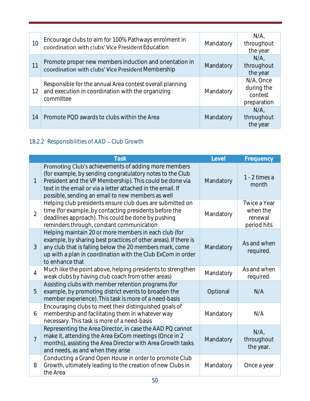| 10 | Encourage clubs to aim for 100% Pathways enrolment in<br>coordination with clubs' Vice President Education                 | Mandatory | N/A<br>throughout<br>the year                     |
|----|----------------------------------------------------------------------------------------------------------------------------|-----------|---------------------------------------------------|
| 11 | Promote proper new members induction and orientation in<br>coordination with clubs' Vice President Membership              | Mandatory | $N/A$ .<br>throughout<br>the year                 |
| 12 | Responsible for the annual Area contest overall planning<br>and execution in coordination with the organizing<br>committee | Mandatory | N/A, Once<br>during the<br>contest<br>preparation |
| 14 | Promote PQD awards to clubs within the Area                                                                                | Mandatory | N/A<br>throughout<br>the year                     |

# <span id="page-49-0"></span>18.2.2 Responsibilities of AAD - Club Growth

|                | <b>Task</b>                                                                                                                                                                                                                                                                                       | Level     | Frequency                                          |
|----------------|---------------------------------------------------------------------------------------------------------------------------------------------------------------------------------------------------------------------------------------------------------------------------------------------------|-----------|----------------------------------------------------|
| 1              | Promoting Club's achievements of adding more members<br>(for example, by sending congratulatory notes to the Club<br>President and the VP Membership). This could be done via<br>text in the email or via a letter attached in the email. If<br>possible, sending an email to new members as well | Mandatory | 1 - 2 times a<br>month                             |
| $\overline{2}$ | Helping club presidents ensure club dues are submitted on<br>time (for example, by contacting presidents before the<br>deadlines approach). This could be done by pushing<br>reminders through, constant communication                                                                            | Mandatory | Twice a Year<br>when the<br>renewal<br>period hits |
| 3              | Helping maintain 20 or more members in each club (for<br>example, by sharing best practices of other areas). If there is<br>any club that is falling below the 20 members mark, come<br>up with a plan in coordination with the Club ExCom in order<br>to enhance that                            | Mandatory | As and when<br>required.                           |
| $\overline{4}$ | Much like the point above, helping presidents to strengthen<br>weak clubs by having club coach from other areas)                                                                                                                                                                                  | Mandatory | As and when<br>required.                           |
| 5              | Assisting clubs with member retention programs (for<br>example, by promoting district events to broaden the<br>member experience). This task is more of a need-basis                                                                                                                              | Optional  | N/A                                                |
| 6              | Encouraging clubs to meet their distinguished goals of<br>membership and facilitating them in whatever way<br>necessary. This task is more of a need-basis                                                                                                                                        | Mandatory | N/A                                                |
| $\overline{7}$ | Representing the Area Director, in case the AAD PQ cannot<br>make it, attending the Area ExCom meetings (Once in 2<br>months), assisting the Area Director with Area Growth tasks<br>and needs, as and when they arise                                                                            | Mandatory | N/A<br>throughout<br>the year.                     |
| 8              | Conducting a Grand Open House in order to promote Club<br>Growth, ultimately leading to the creation of new Clubs in<br>the Area                                                                                                                                                                  | Mandatory | Once a year                                        |